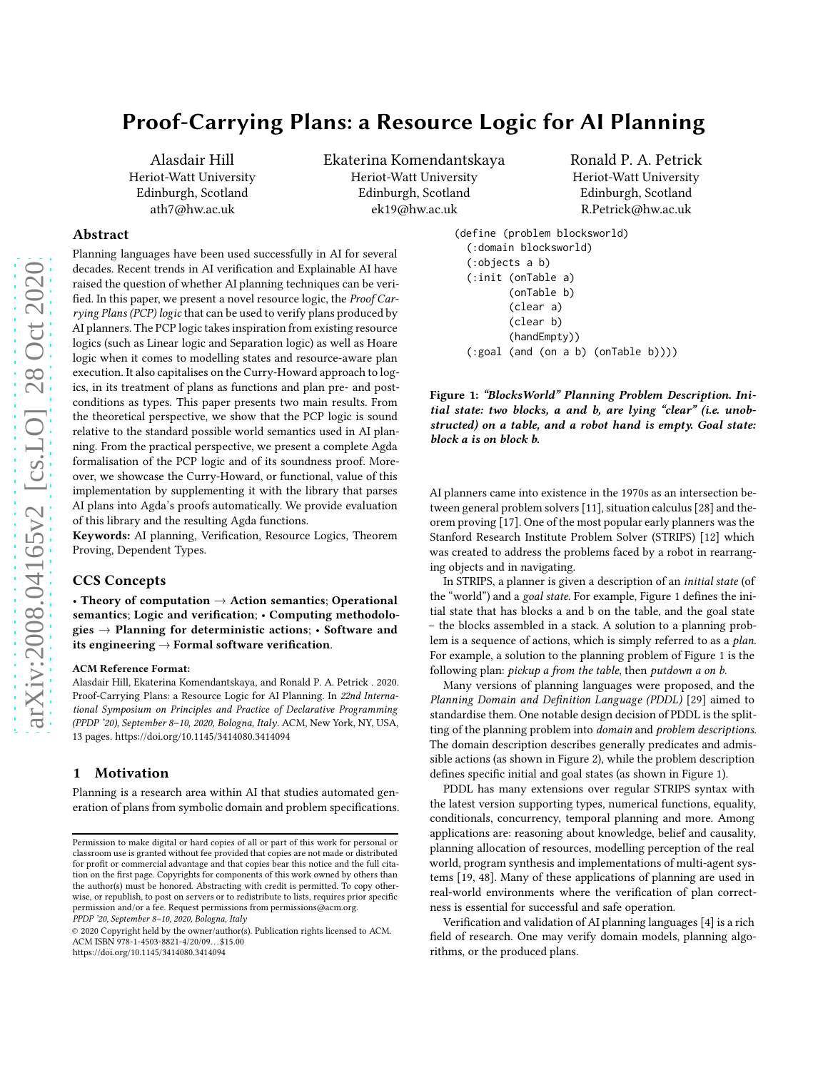# Proof-Carrying Plans: a Resource Logic for AI Planning

Alasdair Hill Heriot-Watt University Edinburgh, Scotland ath7@hw.ac.uk

Ekaterina Komendantskaya Heriot-Watt University Edinburgh, Scotland ek19@hw.ac.uk

Ronald P. A. Petrick Heriot-Watt University Edinburgh, Scotland R.Petrick@hw.ac.uk

# Abstract

Planning languages have been used successfully in AI for several decades. Recent trends in AI verification and Explainable AI have raised the question of whether AI planning techniques can be verified. In this paper, we present a novel resource logic, the Proof Carrying Plans (PCP) logic that can be used to verify plans produced by AI planners. The PCP logic takes inspiration from existing resource logics (such as Linear logic and Separation logic) as well as Hoare logic when it comes to modelling states and resource-aware plan execution. It also capitalises on the Curry-Howard approach to logics, in its treatment of plans as functions and plan pre- and postconditions as types. This paper presents two main results. From the theoretical perspective, we show that the PCP logic is sound relative to the standard possible world semantics used in AI planning. From the practical perspective, we present a complete Agda formalisation of the PCP logic and of its soundness proof. Moreover, we showcase the Curry-Howard, or functional, value of this implementation by supplementing it with the library that parses AI plans into Agda's proofs automatically. We provide evaluation of this library and the resulting Agda functions.

Keywords: AI planning, Verification, Resource Logics, Theorem Proving, Dependent Types.

#### CCS Concepts

• Theory of computation  $\rightarrow$  Action semantics; Operational semantics; Logic and verification; • Computing methodologies  $\rightarrow$  Planning for deterministic actions;  $\cdot$  Software and its engineering  $\rightarrow$  Formal software verification.

#### ACM Reference Format:

Alasdair Hill, Ekaterina Komendantskaya, and Ronald P. A. Petrick . 2020. Proof-Carrying Plans: a Resource Logic for AI Planning. In 22nd International Symposium on Principles and Practice of Declarative Programming (PPDP '20), September 8–10, 2020, Bologna, Italy. ACM, New York, NY, USA, [13](#page-12-0) pages.<https://doi.org/10.1145/3414080.3414094>

# 1 Motivation

Planning is a research area within AI that studies automated generation of plans from symbolic domain and problem specifications.

```
(define (problem blocksworld)
 (:domain blocksworld)
 (:objects a b)
 (:init (onTable a)
         (onTable b)
         (clear a)
         (clear b)
         (handEmpty))
 (:goal (and (on a b) (onTable b))))
```
Figure 1: "BlocksWorld" Planning Problem Description. Initial state: two blocks, a and b, are lying "clear" (i.e. unobstructed) on a table, and a robot hand is empty. Goal state: block a is on block b.

AI planners came into existence in the 1970s as an intersection between general problem solvers [\[11\]](#page-12-1), situation calculus [\[28\]](#page-12-2) and theorem proving [\[17\]](#page-12-3). One of the most popular early planners wasthe Stanford Research Institute Problem Solver (STRIPS) [\[12](#page-12-4)] which was created to address the problems faced by a robot in rearranging objects and in navigating.

In STRIPS, a planner is given a description of an initial state (of the "world") and a goal state. For example, Figure [1](#page-0-0) defines the initial state that has blocks a and b on the table, and the goal state – the blocks assembled in a stack. A solution to a planning problem is a sequence of actions, which is simply referred to as a plan. For example, a solution to the planning problem of Figure [1](#page-0-0) is the following plan: pickup a from the table, then putdown a on b.

Many versions of planning languages were proposed, and the Planning Domain and Definition Language (PDDL) [\[29](#page-12-5)] aimed to standardise them. One notable design decision of PDDL is the splitting of the planning problem into domain and problem descriptions. The domain description describes generally predicates and admissible actions (as shown in Figure [2\)](#page-1-0), while the problem description defines specific initial and goal states (as shown in Figure [1\)](#page-0-0).

PDDL has many extensions over regular STRIPS syntax with the latest version supporting types, numerical functions, equality, conditionals, concurrency, temporal planning and more. Among applications are: reasoning about knowledge, belief and causality, planning allocation of resources, modelling perception of the real world, program synthesis and implementations of multi-agent systems [\[19,](#page-12-6) [48\]](#page-12-7). Many of these applications of planning are used in real-world environments where the verification of plan correctness is essential for successful and safe operation.

Verification and validation of AI planning languages [\[4](#page-12-8)] is a rich field of research. One may verify domain models, planning algorithms, or the produced plans.

Permission to make digital or hard copies of all or part of this work for personal or classroom use is granted without fee provided that copies are not made or distributed for profit or commercial advantage and that copies bear this notice and the full citation on the first page. Copyrights for components of this work owned by others than the author(s) must be honored. Abstracting with credit is permitted. To copy otherwise, or republish, to post on servers or to redistribute to lists, requires prior specific permission and/or a fee. Request permissions from permissions@acm.org. PPDP '20, September 8–10, 2020, Bologna, Italy

<sup>© 2020</sup> Copyright held by the owner/author(s). Publication rights licensed to ACM. ACM ISBN 978-1-4503-8821-4/20/09...\$15.00 <https://doi.org/10.1145/3414080.3414094>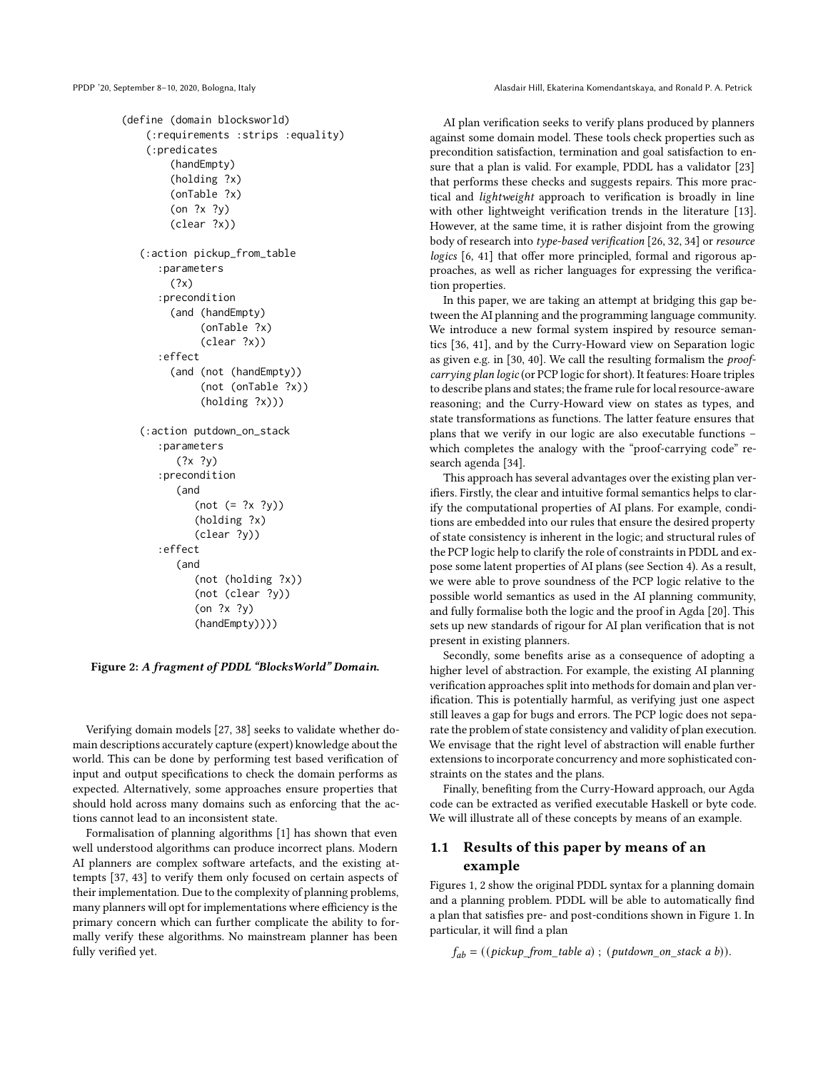<span id="page-1-0"></span>PPDP '20, September 8-10, 2020, Bologna, Italy Alasdair Hill, Ekaterina Komendantskaya, and Ronald P. A. Petrick

```
(define (domain blocksworld)
    (:requirements :strips :equality)
    (:predicates
        (handEmpty)
        (holding ?x)
        (onTable ?x)
        (on ?x ?y)
        (clear ?x))
   (:action pickup_from_table
      :parameters
        (?x)
      :precondition
        (and (handEmpty)
             (onTable ?x)
             (clear ?x))
      :effect
        (and (not (handEmpty))
             (not (onTable ?x))
             (holding ?x)))
   (:action putdown_on_stack
      :parameters
         (?x ?y):precondition
         (and
            (not (= ?x ?y))
            (holding ?x)
             (clear ?y))
      :effect
         (and
            (not (holding ?x))
            (not (clear ?y))
            (on ?x ?y)
            (handEmpty))))
```
Figure 2: A fragment of PDDL "BlocksWorld" Domain.

Verifying domain models [\[27,](#page-12-9) [38\]](#page-12-10) seeks to validate whether domain descriptions accurately capture (expert) knowledge about the world. This can be done by performing test based verification of input and output specifications to check the domain performs as expected. Alternatively, some approaches ensure properties that should hold across many domains such as enforcing that the actions cannot lead to an inconsistent state.

Formalisation of planning algorithms [\[1\]](#page-12-11) has shown that even well understood algorithms can produce incorrect plans. Modern AI planners are complex software artefacts, and the existing attempts [\[37,](#page-12-12) [43\]](#page-12-13) to verify them only focused on certain aspects of their implementation. Due to the complexity of planning problems, many planners will opt for implementations where efficiency is the primary concern which can further complicate the ability to formally verify these algorithms. No mainstream planner has been fully verified yet.

AI plan verification seeks to verify plans produced by planners against some domain model. These tools check properties such as precondition satisfaction, termination and goal satisfaction to ensure that a plan is valid. For example, PDDL has a validator [\[23](#page-12-14)] that performs these checks and suggests repairs. This more practical and lightweight approach to verification is broadly in line with other lightweight verification trends in the literature [\[13\]](#page-12-15). However, at the same time, it is rather disjoint from the growing body of research into type-based verification [\[26](#page-12-16), [32](#page-12-17), 34] or resource logics [\[6](#page-12-18), [41\]](#page-12-19) that offer more principled, formal and rigorous approaches, as well as richer languages for expressing the verification properties.

In this paper, we are taking an attempt at bridging this gap between the AI planning and the programming language community. We introduce a new formal system inspired by resource semantics [\[36,](#page-12-20) [41\]](#page-12-19), and by the Curry-Howard view on Separation logic as given e.g. in [\[30](#page-12-21), [40\]](#page-12-22). We call the resulting formalism the *proof*carrying plan logic (or PCP logic for short). It features: Hoare triples to describe plans and states; the frame rule for local resource-aware reasoning; and the Curry-Howard view on states as types, and state transformations as functions. The latter feature ensures that plans that we verify in our logic are also executable functions – which completes the analogy with the "proof-carrying code" research agenda [34].

This approach has several advantages over the existing plan verifiers. Firstly, the clear and intuitive formal semantics helps to clarify the computational properties of AI plans. For example, conditions are embedded into our rules that ensure the desired property of state consistency is inherent in the logic; and structural rules of the PCP logic help to clarify the role of constraints in PDDL and expose some latent properties of AI plans (see Section [4\)](#page-7-0). As a result, we were able to prove soundness of the PCP logic relative to the possible world semantics as used in the AI planning community, and fully formalise both the logic and the proof in Agda [\[20\]](#page-12-23). This sets up new standards of rigour for AI plan verification that is not present in existing planners.

Secondly, some benefits arise as a consequence of adopting a higher level of abstraction. For example, the existing AI planning verification approaches split into methods for domain and plan verification. This is potentially harmful, as verifying just one aspect still leaves a gap for bugs and errors. The PCP logic does not separate the problem of state consistency and validity of plan execution. We envisage that the right level of abstraction will enable further extensions to incorporate concurrency and more sophisticated constraints on the states and the plans.

Finally, benefiting from the Curry-Howard approach, our Agda code can be extracted as verified executable Haskell or byte code. We will illustrate all of these concepts by means of an example.

# <span id="page-1-1"></span>1.1 Results of this paper by means of an example

Figures [1,](#page-0-0) [2](#page-1-0) show the original PDDL syntax for a planning domain and a planning problem. PDDL will be able to automatically find a plan that satisfies pre- and post-conditions shown in Figure [1.](#page-0-0) In particular, it will find a plan

 $f_{ab}$  = ((pickup\_from\_table a); (putdown\_on\_stack a b)).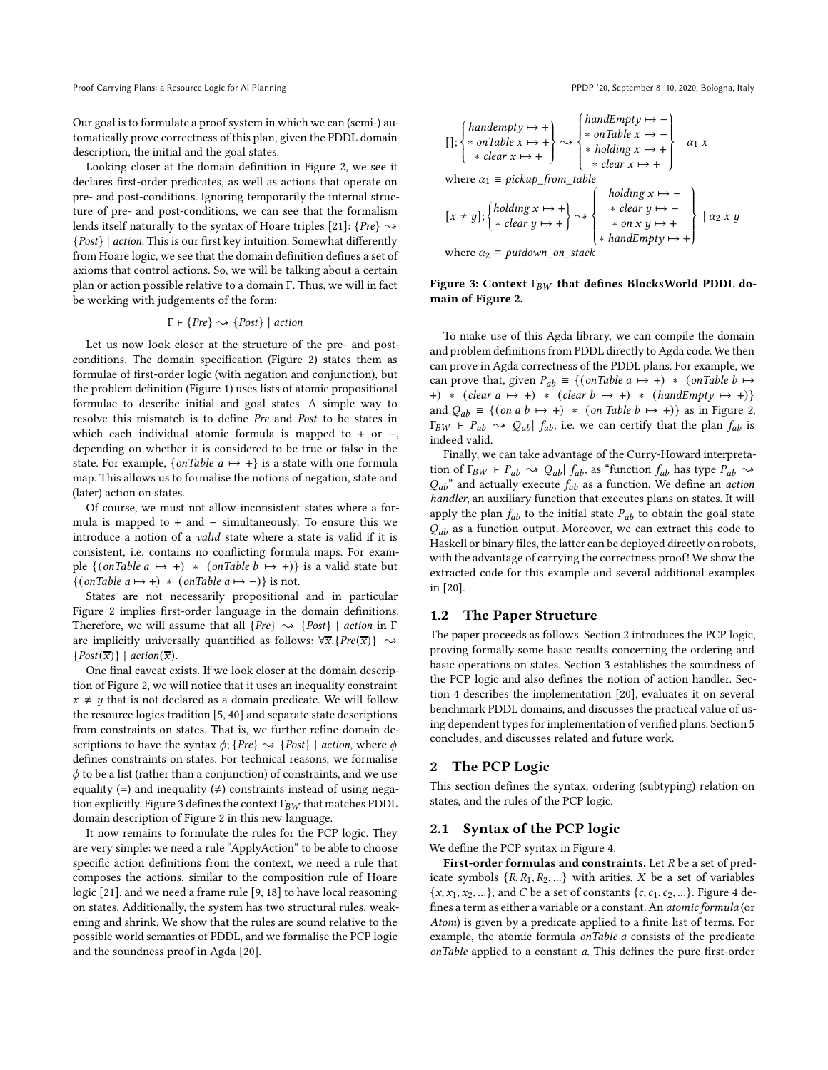Our goal is to formulate a proof system in which we can (semi-) automatically prove correctness of this plan, given the PDDL domain description, the initial and the goal states.

Looking closer at the domain definition in Figure [2,](#page-1-0) we see it declares first-order predicates, as well as actions that operate on pre- and post-conditions. Ignoring temporarily the internal structure of pre- and post-conditions, we can see that the formalism lends itself naturally to the syntax of Hoare triples [\[21](#page-12-24)]: {Pre}  $\sim$ {Post} | action. This is our first key intuition. Somewhat differently from Hoare logic, we see that the domain definition defines a set of axioms that control actions. So, we will be talking about a certain plan or action possible relative to a domain Γ. Thus, we will in fact be working with judgements of the form:

#### $\Gamma \vdash \{Pre\} \leadsto \{Post\} \mid action$

Let us now look closer at the structure of the pre- and postconditions. The domain specification (Figure [2\)](#page-1-0) states them as formulae of first-order logic (with negation and conjunction), but the problem definition (Figure [1\)](#page-0-0) uses lists of atomic propositional formulae to describe initial and goal states. A simple way to resolve this mismatch is to define Pre and Post to be states in which each individual atomic formula is mapped to + or  $-,$ depending on whether it is considered to be true or false in the state. For example,  $\{onTable\ a \mapsto +\}$  is a state with one formula map. This allows us to formalise the notions of negation, state and (later) action on states.

Of course, we must not allow inconsistent states where a formula is mapped to + and  $-$  simultaneously. To ensure this we introduce a notion of a valid state where a state is valid if it is consistent, i.e. contains no conflicting formula maps. For example  $\{ (onTable a \mapsto +) * (onTable b \mapsto +) \}$  is a valid state but  $\{(\text{onTable a} \mapsto +) * (\text{onTable a} \mapsto -)\}\$ is not.

States are not necessarily propositional and in particular Figure [2](#page-1-0) implies first-order language in the domain definitions. Therefore, we will assume that all  $\{Pre\} \sim \{Post\}$  | action in Γ are implicitly universally quantified as follows:  $\forall \overline{x}$ . {Pre( $\overline{x}$ )}  $\rightsquigarrow$  $\{Post(\overline{x})\}$  | action( $\overline{x}$ ).

One final caveat exists. If we look closer at the domain description of Figure [2,](#page-1-0) we will notice that it uses an inequality constraint  $x \neq y$  that is not declared as a domain predicate. We will follow the resource logics tradition [\[5,](#page-12-25) [40](#page-12-22)] and separate state descriptions from constraints on states. That is, we further refine domain descriptions to have the syntax  $\phi$ ; {Pre}  $\sim$  {Post} | action, where  $\phi$ defines constraints on states. For technical reasons, we formalise  $\phi$  to be a list (rather than a conjunction) of constraints, and we use equality (=) and inequality ( $\neq$ ) constraints instead of using nega-tion explicitly. Figure [3](#page-2-0) defines the context  $\Gamma_{BW}$  that matches PDDL domain description of Figure [2](#page-1-0) in this new language.

It now remains to formulate the rules for the PCP logic. They are very simple: we need a rule "ApplyAction" to be able to choose specific action definitions from the context, we need a rule that composes the actions, similar to the composition rule of Hoare logic [\[21\]](#page-12-24), and we need a frame rule [\[9,](#page-12-26) [18](#page-12-27)] to have local reasoning on states. Additionally, the system has two structural rules, weakening and shrink. We show that the rules are sound relative to the possible world semantics of PDDL, and we formalise the PCP logic and the soundness proof in Agda [\[20](#page-12-23)].

<span id="page-2-0"></span>
$$
[ ] ; \begin{cases} \n \text{handempty} \mapsto + \\ \n * \text{ on Table } x \mapsto + \\ \n * \text{ clear } x \mapsto + \n \end{cases} \rightarrow \begin{cases} \n \text{handEmpty} \mapsto - \\ \n * \text{ on Table } x \mapsto - \\ \n * \text{ holding } x \mapsto + \\ \n * \text{ clear } x \mapsto + \n \end{cases} | \alpha_1 x
$$
\n
$$
[ x \neq y ] ; \begin{cases} \n \text{holding } x \mapsto + \\ \n * \text{ clear } y \mapsto - \\ \n * \text{ clear } y \mapsto - \\ \n * \text{ on } x \text{ } y \mapsto + \n \end{cases} | \alpha_2 x y
$$
\n
$$
where \alpha_2 = \text{outdown on stack} \quad \text{andEmpty} \mapsto + \begin{cases} \n \text{holding } x \mapsto - \\ \n * \text{ on } x \text{ } y \mapsto + \\ \n * \text{handEmpty} \mapsto + \n \end{cases} | \alpha_2 x y
$$

where  $\alpha_2 \equiv putdown\_on\_stack$ 

#### Figure 3: Context  $\Gamma_{BW}$  that defines BlocksWorld PDDL domain of Figure [2.](#page-1-0)

To make use of this Agda library, we can compile the domain and problem definitions from PDDL directly to Agda code. We then can prove in Agda correctness of the PDDL plans. For example, we can prove that, given  $P_{ab} \equiv \{ (onTable a \mapsto +) * (onTable b \mapsto$ +) \* (clear  $a \mapsto$  +) \* (clear  $b \mapsto$  +) \* (handEmpty  $\mapsto$  +)} and  $Q_{ab} \equiv \{ (on \ a \ b \mapsto +) \ * \ (on \ Table \ b \mapsto +) \}$  as in Figure [2,](#page-1-0)  $\Gamma_{BW}$  ⊢  $P_{ab}$   $\sim$   $Q_{ab}$   $\int_{ab} f_{ab}$ , i.e. we can certify that the plan  $f_{ab}$  is indeed valid.

Finally, we can take advantage of the Curry-Howard interpretation of  $\Gamma_{BW}$  ⊢  $P_{ab} \sim Q_{ab} | f_{ab}$ , as "function  $f_{ab}$  has type  $P_{ab} \sim$  $Q_{ab}$ " and actually execute  $f_{ab}$  as a function. We define an *action* handler, an auxiliary function that executes plans on states. It will apply the plan  $f_{ab}$  to the initial state  $P_{ab}$  to obtain the goal state  $Q_{ab}$  as a function output. Moreover, we can extract this code to Haskell or binary files, the latter can be deployed directly on robots, with the advantage of carrying the correctness proof! We show the extracted code for this example and several additional examples in [\[20](#page-12-23)].

#### 1.2 The Paper Structure

The paper proceeds as follows. Section [2](#page-2-1) introduces the PCP logic, proving formally some basic results concerning the ordering and basic operations on states. Section [3](#page-5-0) establishes the soundness of the PCP logic and also defines the notion of action handler. Section [4](#page-7-0) describes the implementation [\[20\]](#page-12-23), evaluates it on several benchmark PDDL domains, and discusses the practical value of using dependent types for implementation of verified plans. Section [5](#page-10-0) concludes, and discusses related and future work.

#### <span id="page-2-1"></span>2 The PCP Logic

This section defines the syntax, ordering (subtyping) relation on states, and the rules of the PCP logic.

#### 2.1 Syntax of the PCP logic

We define the PCP syntax in Figure [4.](#page-4-0)

First-order formulas and constraints. Let  $R$  be a set of predicate symbols  $\{R, R_1, R_2, ...\}$  with arities, X be a set of variables  ${x, x_1, x_2, ...}$ , and C be a set of constants  ${c, c_1, c_2, ...}$ . Figure [4](#page-4-0) defines a term as either a variable or a constant. An atomic formula (or Atom) is given by a predicate applied to a finite list of terms. For example, the atomic formula onTable a consists of the predicate onTable applied to a constant a. This defines the pure first-order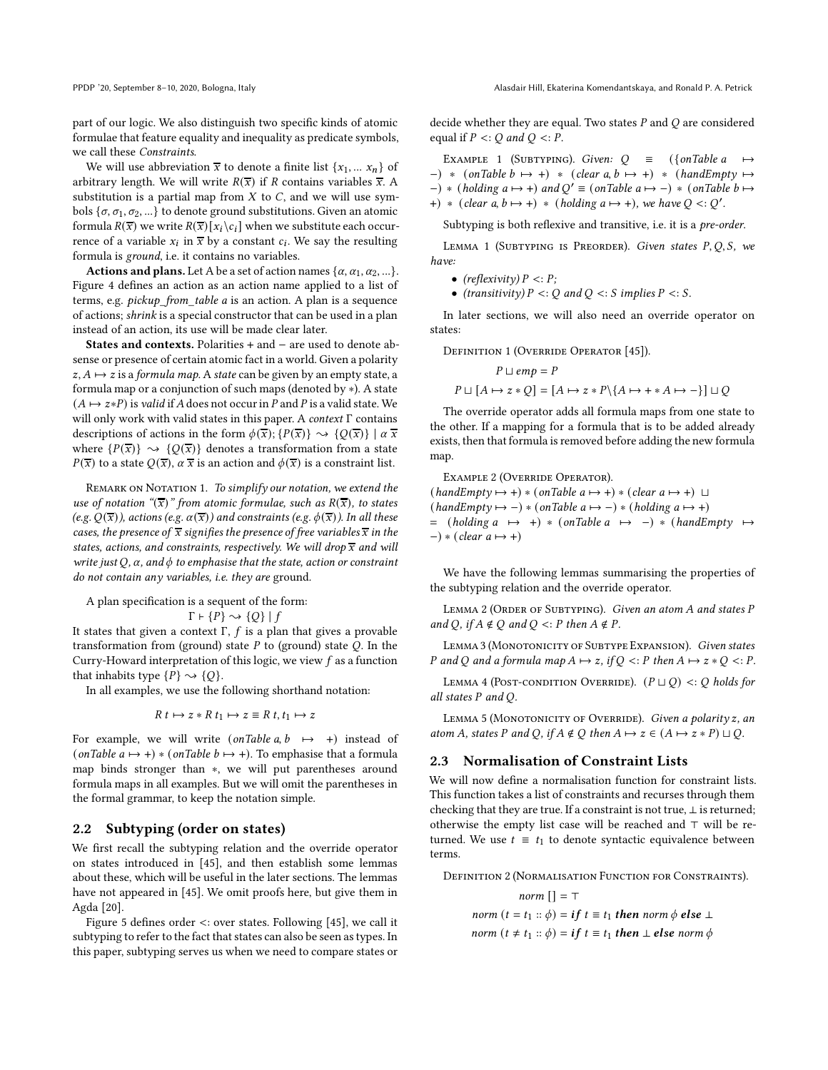PPDP '20, September 8-10, 2020, Bologna, Italy Alasdair Hill, Ekaterina Komendantskaya, and Ronald P. A. Petrick

part of our logic. We also distinguish two specific kinds of atomic formulae that feature equality and inequality as predicate symbols, we call these Constraints.

We will use abbreviation  $\overline{x}$  to denote a finite list  $\{x_1, \ldots, x_n\}$  of arbitrary length. We will write  $R(\overline{x})$  if R contains variables  $\overline{x}$ . A substitution is a partial map from  $X$  to  $C$ , and we will use symbols  $\{\sigma, \sigma_1, \sigma_2, ...\}$  to denote ground substitutions. Given an atomic formula  $R(\overline{x})$  we write  $R(\overline{x})[x_i \setminus c_i]$  when we substitute each occurrence of a variable  $x_i$  in  $\overline{x}$  by a constant  $c_i$ . We say the resulting formula is ground, i.e. it contains no variables.

Actions and plans. Let A be a set of action names  $\{\alpha, \alpha_1, \alpha_2, ...\}$ . Figure [4](#page-4-0) defines an action as an action name applied to a list of terms, e.g. pickup\_from\_table a is an action. A plan is a sequence of actions; shrink is a special constructor that can be used in a plan instead of an action, its use will be made clear later.

States and contexts. Polarities + and − are used to denote absense or presence of certain atomic fact in a world. Given a polarity  $z, A \mapsto z$  is a formula map. A state can be given by an empty state, a formula map or a conjunction of such maps (denoted by ∗). A state  $(A \mapsto z * P)$  is valid if A does not occur in P and P is a valid state. We will only work with valid states in this paper. A context Γ contains descriptions of actions in the form  $\phi(\overline{x}); \{P(\overline{x})\} \rightarrow \{Q(\overline{x})\} \mid \alpha \overline{x}$ where  $\{P(\overline{x})\} \rightsquigarrow \{Q(\overline{x})\}$  denotes a transformation from a state  $P(\overline{x})$  to a state  $Q(\overline{x})$ ,  $\alpha \overline{x}$  is an action and  $\phi(\overline{x})$  is a constraint list.

REMARK ON NOTATION 1. To simplify our notation, we extend the use of notation " $(\overline{x})$ " from atomic formulae, such as  $R(\overline{x})$ , to states (e.g.  $Q(\overline{x})$ ), actions (e.g.  $\alpha(\overline{x})$ ) and constraints (e.g.  $\phi(\overline{x})$ ). In all these cases, the presence of  $\overline{x}$  signifies the presence of free variables  $\overline{x}$  in the states, actions, and constraints, respectively. We will drop  $\overline{x}$  and will write just Q,  $\alpha$ , and  $\phi$  to emphasise that the state, action or constraint do not contain any variables, i.e. they are ground.

A plan specification is a sequent of the form:  $\Gamma$  +  $\{P\} \sim \{Q\}$  |  $f$ 

It states that given a context  $\Gamma$ ,  $f$  is a plan that gives a provable transformation from (ground) state  $P$  to (ground) state  $Q$ . In the Curry-Howard interpretation of this logic, we view  $f$  as a function that inhabits type  $\{P\} \sim \{Q\}$ .

In all examples, we use the following shorthand notation:

$$
R\ t \mapsto z * R\ t_1 \mapsto z \equiv R\ t, t_1 \mapsto z
$$

For example, we will write  $(onTable\ a, b \mapsto +)$  instead of (onTable  $a \mapsto +$ ) \* (onTable  $b \mapsto +$ ). To emphasise that a formula map binds stronger than ∗, we will put parentheses around formula maps in all examples. But we will omit the parentheses in the formal grammar, to keep the notation simple.

# 2.2 Subtyping (order on states)

We first recall the subtyping relation and the override operator on states introduced in [\[45](#page-12-28)], and then establish some lemmas about these, which will be useful in the later sections. The lemmas have not appeared in [\[45\]](#page-12-28). We omit proofs here, but give them in Agda [\[20\]](#page-12-23).

Figure [5](#page-4-1) defines order <: over states. Following [\[45\]](#page-12-28), we call it subtyping to refer to the fact that states can also be seen as types. In this paper, subtyping serves us when we need to compare states or decide whether they are equal. Two states  $P$  and  $Q$  are considered equal if  $P \leq Q$  and  $Q \leq P$ .

<span id="page-3-0"></span>EXAMPLE 1 (SUBTYPING). Given:  $Q \equiv (\{onTable \ a \mapsto \}$  $-$ ) \* (onTable  $b \mapsto +$ ) \* (clear a,  $b \mapsto +$ ) \* (handEmpty  $\mapsto$  $(-) * (holding a \mapsto +)$  and  $Q' \equiv (on Table a \mapsto -) * (on Table b \mapsto$ +) \* (clear  $a, b \mapsto +$ ) \* (holding  $a \mapsto +$ ), we have  $Q \lt : Q'$ .

Subtyping is both reflexive and transitive, i.e. it is a pre-order.

LEMMA 1 (SUBTYPING IS PREORDER). Given states  $P, Q, S$ , we have:

- (reflexivity)  $P \leq P$ ;
- (transitivity)  $P \leq Q$  and  $Q \leq S$  implies  $P \leq S$ .

In later sections, we will also need an override operator on states:

DEFINITION 1 (OVERRIDE OPERATOR [\[45\]](#page-12-28)).

$$
P \sqcup emp = P
$$
  

$$
P \sqcup [A \mapsto z * Q] = [A \mapsto z * P \setminus \{A \mapsto + * A \mapsto -\}] \sqcup Q
$$

The override operator adds all formula maps from one state to the other. If a mapping for a formula that is to be added already exists, then that formula is removed before adding the new formula map.

Example 2 (Override Operator).

 $(handEmpty \mapsto +) * (onTable a \mapsto +) * (clear a \mapsto +) \sqcup$  $(handEmpty \mapsto -)* (onTable a \mapsto -)* (holding a \mapsto +)$  $=$  (holding  $a \mapsto +$ ) \* (onTable  $a \mapsto -$ ) \* (handEmpty  $\mapsto$  $-$ ) \* (clear a  $\mapsto$  +)

We have the following lemmas summarising the properties of the subtyping relation and the override operator.

<span id="page-3-4"></span>LEMMA 2 (ORDER OF SUBTYPING). Given an atom A and states P and Q, if  $A \notin Q$  and  $Q \leq P$  then  $A \notin P$ .

<span id="page-3-2"></span>LEMMA 3 (MONOTONICITY OF SUBTYPE EXPANSION). Given states P and Q and a formula map  $A \mapsto z$ , if  $Q \leq P$  then  $A \mapsto z * Q \leq P$ .

<span id="page-3-1"></span>LEMMA 4 (POST-CONDITION OVERRIDE).  $(P \sqcup Q)$  <: Q holds for all states P and Q.

<span id="page-3-3"></span>LEMMA 5 (MONOTONICITY OF OVERRIDE). Given a polarity z, an atom A, states P and Q, if  $A \notin Q$  then  $A \mapsto z \in (A \mapsto z * P) \sqcup Q$ .

#### 2.3 Normalisation of Constraint Lists

We will now define a normalisation function for constraint lists. This function takes a list of constraints and recurses through them checking that they are true. If a constraint is not true,  $\perp$  is returned; otherwise the empty list case will be reached and ⊤ will be returned. We use  $t \equiv t_1$  to denote syntactic equivalence between terms.

Definition 2 (Normalisation Function for Constraints).

 $norm \lceil \rceil = \top$ norm  $(t = t_1 :: \phi) = \mathbf{i} f t \equiv t_1$  then norm  $\phi$  else  $\bot$ norm  $(t \neq t_1 :: \phi) = \mathbf{i} f t \equiv t_1$  then  $\bot$  else norm  $\phi$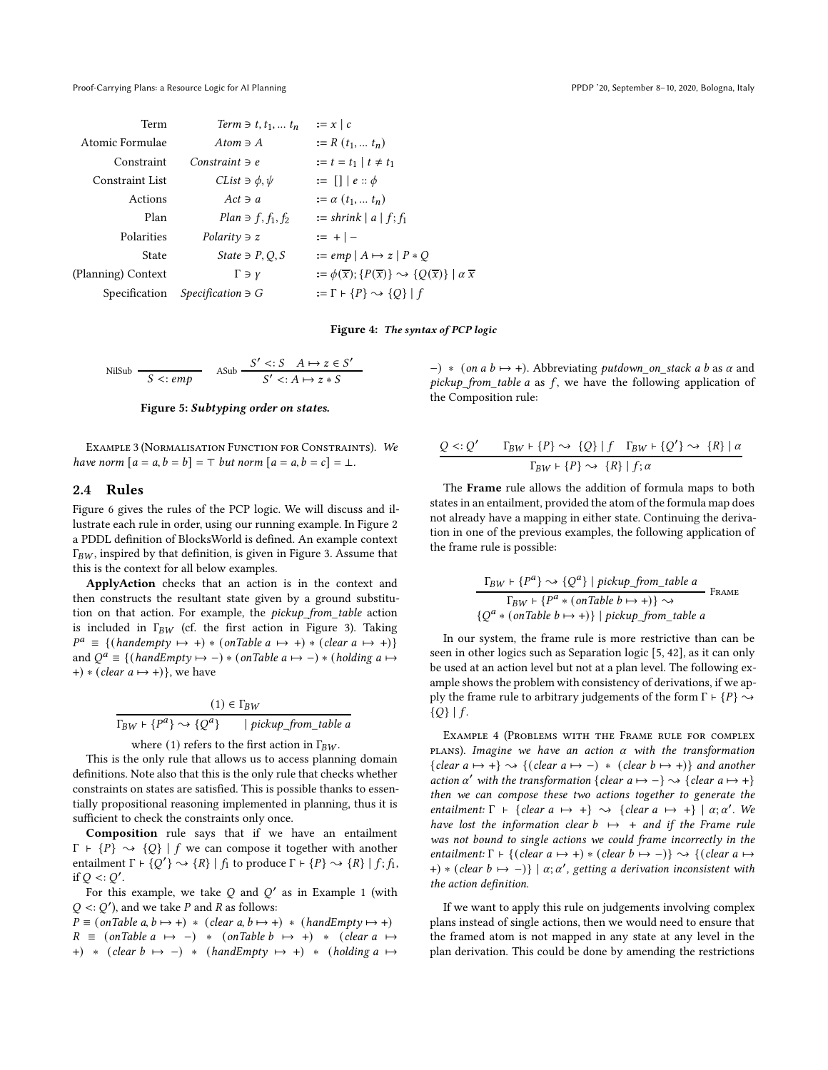<span id="page-4-0"></span>

| Term               | Term $\ni$ t, $t_1, \ldots t_n$     | $:= x \mid c$                                                                                              |
|--------------------|-------------------------------------|------------------------------------------------------------------------------------------------------------|
| Atomic Formulae    | Atom $\exists$ A                    | $:= R(t_1, t_n)$                                                                                           |
| Constraint         | Constraint $\ni$ e                  | $:= t = t_1   t \neq t_1$                                                                                  |
| Constraint List    | CList $\Rightarrow$ $\phi$ , $\psi$ | $:= \Box e :: \phi$                                                                                        |
| Actions            | $Act \ni a$                         | $:= \alpha(t_1, t_n)$                                                                                      |
| Plan               | $Plan \ni f, f_1, f_2$              | $:=$ shrink $ a f;f_1$                                                                                     |
| Polarities         | Polarity $\exists$ z                | $:= + \,   -$                                                                                              |
| State              | State $\exists P, Q, S$             | $:= emp   A \mapsto z   P * Q$                                                                             |
| (Planning) Context | $\Gamma \ni \gamma$                 | $:= \phi(\overline{x}); \{P(\overline{x})\} \rightsquigarrow \{Q(\overline{x})\} \mid \alpha \overline{x}$ |
| Specification      | $Specification \ni G$               | $:= \Gamma \vdash \{P\} \rightsquigarrow \{Q\}   f$                                                        |

#### Figure 4: The syntax of PCP logic

<span id="page-4-1"></span>

| NilSub |                | ASub | $S' \leq S \quad A \mapsto z \in S'$ |
|--------|----------------|------|--------------------------------------|
|        | $S \leq$ : emp |      | $S' \prec: A \mapsto z * S$          |

#### Figure 5: Subtyping order on states.

Example 3 (Normalisation Function for Constraints). We have norm  $[a = a, b = b] = \top$  but norm  $[a = a, b = c] = \bot$ .

### 2.4 Rules

Figure [6](#page-5-1) gives the rules of the PCP logic. We will discuss and illustrate each rule in order, using our running example. In Figure [2](#page-1-0) a PDDL definition of BlocksWorld is defined. An example context  $\Gamma_{BW}$ , inspired by that definition, is given in Figure [3.](#page-2-0) Assume that this is the context for all below examples.

ApplyAction checks that an action is in the context and then constructs the resultant state given by a ground substitution on that action. For example, the pickup\_from\_table action is included in  $\Gamma_{BW}$  (cf. the first action in Figure [3\)](#page-2-0). Taking  $P^a \equiv \{ (handempty \mapsto +) * (onTable a \mapsto +) * (clear a \mapsto +) \}$ and  $Q^a \equiv \{ (handEmpty \mapsto -) * (onTable a \mapsto -) * (holding a \mapsto -) * (mod a \mapsto -) * (mod a \mapsto -) * (mod a \mapsto -) * (mod a \mapsto -) * (mod a \mapsto -) * (mod a \mapsto -) * (mod a \mapsto -) * (mod a \mapsto -) * (mod a \mapsto -) * (mod a \mapsto -) * (mod a \mapsto -) * (mod a \mapsto -) * (mod a \mapsto -) * (mod a \mapsto -) * (mod a \mapsto -) * (mod a \mapsto -) * (mod a \mapsto -) * (mod a \mapsto -) * (mod a \mapsto -) * (mod a \mapsto -) * ($ +)  $*(clear\ a \mapsto +)$ }, we have

$$
(1) \in \Gamma_{BW}
$$
  

$$
\Gamma_{BW} \vdash \{P^a\} \leadsto \{Q^a\} \qquad | \text{ pickup\_from\_table a}
$$

where (1) refers to the first action in  $\Gamma_{BW}$ .

This is the only rule that allows us to access planning domain definitions. Note also that this is the only rule that checks whether constraints on states are satisfied. This is possible thanks to essentially propositional reasoning implemented in planning, thus it is sufficient to check the constraints only once.

Composition rule says that if we have an entailment  $\Gamma$  +  $\{P\}$   $\rightarrow$   $\{Q\}$  | f we can compose it together with another entailment  $\Gamma \vdash \{Q'\} \leadsto \{R\} \mid f_1$  to produce  $\Gamma \vdash \{P\} \leadsto \{R\} \mid f_1, f_2$ if  $Q \lt C Q'$ .

For this example, we take  $Q$  and  $Q'$  as in Example [1](#page-3-0) (with  $Q \lt: Q'$ ), and we take P and R as follows:

 $P \equiv (onTable a, b \mapsto +) * (clear a, b \mapsto +) * (handEmpty \mapsto +)$  $R \equiv$  (onTable a  $\mapsto$  -) \* (onTable b  $\mapsto$  +) \* (clear a  $\mapsto$ +) \* (clear  $b \mapsto -$ ) \* (handEmpty  $\mapsto$  +) \* (holding a  $\mapsto$ 

 $-$ ) \* (on a b  $\mapsto$  +). Abbreviating putdown on stack a b as  $\alpha$  and pickup\_from\_table a as  $f$ , we have the following application of the Composition rule:

$$
\frac{Q <: Q' \qquad \Gamma_{BW} \vdash \{P\} \rightsquigarrow \{Q\} \mid f \quad \Gamma_{BW} \vdash \{Q'\} \rightsquigarrow \{R\} \mid \alpha}{\Gamma_{BW} \vdash \{P\} \rightsquigarrow \{R\} \mid f; \alpha}
$$

The Frame rule allows the addition of formula maps to both states in an entailment, provided the atom of the formula map does not already have a mapping in either state. Continuing the derivation in one of the previous examples, the following application of the frame rule is possible:

$$
\frac{\Gamma_{BW} \vdash \{P^{a}\} \rightsquigarrow \{Q^{a}\} \mid pickup\_from\_table\ a}{\Gamma_{BW} \vdash \{P^{a} * (onTable\ b \mapsto +)\} \rightsquigarrow}
$$
Frame  

$$
\{Q^{a} * (onTable\ b \mapsto +)\} \mid pickup\_from\_table\ a
$$

In our system, the frame rule is more restrictive than can be seen in other logics such as Separation logic [\[5](#page-12-25), [42](#page-12-29)], as it can only be used at an action level but not at a plan level. The following example shows the problem with consistency of derivations, if we apply the frame rule to arbitrary judgements of the form  $\Gamma \vdash \{P\} \sim$  ${Q}$ |  $f$ .

Example 4 (Problems with the Frame rule for complex plans). Imagine we have an action  $\alpha$  with the transformation {clear  $a \mapsto +$ }  $\rightsquigarrow$  {(clear  $a \mapsto -$ )  $*$  (clear  $b \mapsto +$ )} and another action  $\alpha'$  with the transformation {clear  $a \mapsto -$ }  $\rightsquigarrow$  {clear  $a \mapsto +$ } then we can compose these two actions together to generate the entailment:  $\Gamma$  + {clear  $a \mapsto +\}$   $\rightsquigarrow$  {clear  $a \mapsto +\}$  |  $\alpha; \alpha'$ . We have lost the information clear  $b \mapsto +$  and if the Frame rule was not bound to single actions we could frame incorrectly in the entailment:  $\Gamma \vdash \{(\text{clear } a \mapsto +) * (\text{clear } b \mapsto -)\} \rightsquigarrow \{(\text{clear } a \mapsto$ +) \* (clear  $b \mapsto -$ )} |  $\alpha; \alpha'$ , getting a derivation inconsistent with the action definition.

If we want to apply this rule on judgements involving complex plans instead of single actions, then we would need to ensure that the framed atom is not mapped in any state at any level in the plan derivation. This could be done by amending the restrictions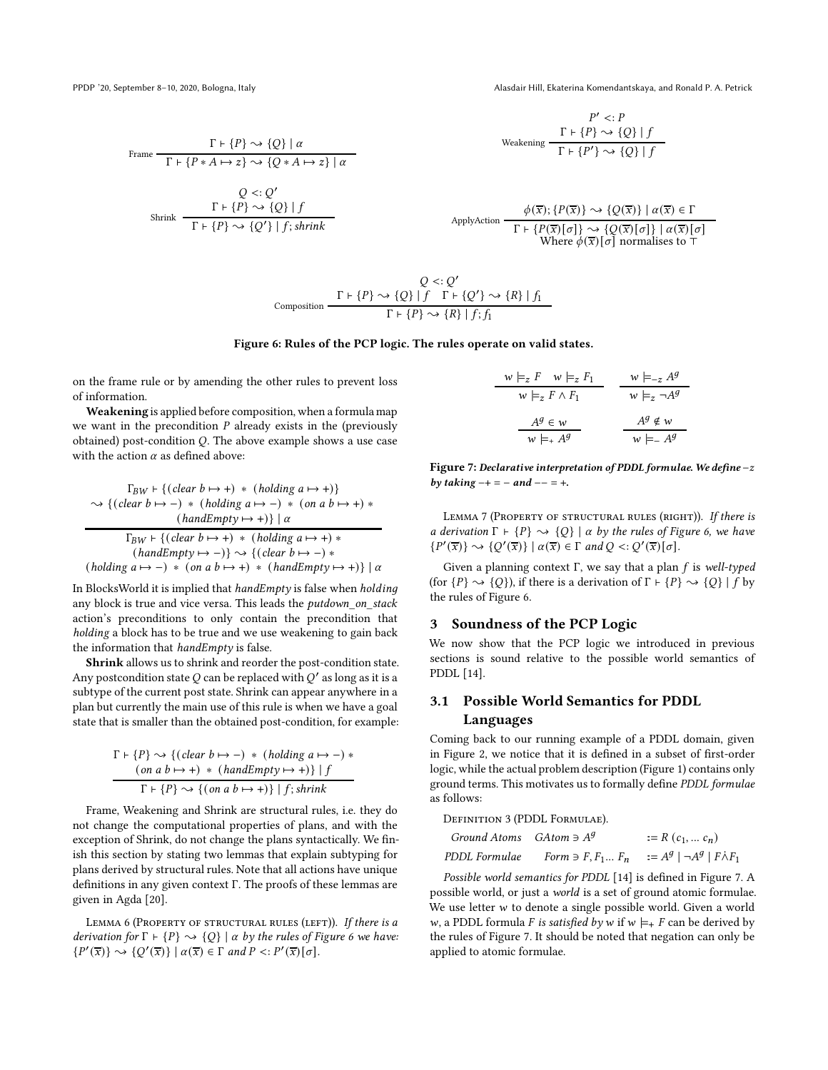<span id="page-5-1"></span>

PPDP '20, September 8-10, 2020, Bologna, Italy Alasdair Hill, Ekaterina Komendantskaya, and Ronald P. A. Petrick

Frame

\n
$$
\frac{\Gamma \vdash \{P\} \rightsquigarrow \{Q\} \mid \alpha}{\Gamma \vdash \{P * A \mapsto z\} \rightsquigarrow \{Q * A \mapsto z\} \mid \alpha}
$$
\n
$$
Q <: Q'
$$
\nShrink

\n
$$
\frac{\Gamma \vdash \{P\} \rightsquigarrow \{Q\} \mid f}{\Gamma \vdash \{P\} \rightsquigarrow \{Q'\} \mid f; shrink}
$$

$$
P' <: P
$$
\nWeakening

\n
$$
\frac{\Gamma \vdash \{P\} \rightsquigarrow \{Q\} \mid f}{\Gamma \vdash \{P'\} \rightsquigarrow \{Q\} \mid f}
$$

ApplyAction

\n
$$
\frac{\phi(\overline{x}); \{P(\overline{x})\} \rightsquigarrow \{Q(\overline{x})\} \mid \alpha(\overline{x}) \in \Gamma}{\Gamma \vdash \{P(\overline{x})[\sigma]\} \rightsquigarrow \{Q(\overline{x})[\sigma]\} \mid \alpha(\overline{x})[\sigma]} \text{Where } \phi(\overline{x})[\sigma] \text{ normalises to } \top
$$

$$
Q \leq Q'
$$
  
Composition\n
$$
\frac{\Gamma \vdash \{P\} \rightsquigarrow \{Q\} \mid f \quad \Gamma \vdash \{Q'\} \rightsquigarrow \{R\} \mid f_1}{\Gamma \vdash \{P\} \rightsquigarrow \{R\} \mid f_1 f_1}
$$

#### Figure 6: Rules of the PCP logic. The rules operate on valid states.

on the frame rule or by amending the other rules to prevent loss of information.

Weakening is applied before composition, when a formula map we want in the precondition  $P$  already exists in the (previously obtained) post-condition  $Q$ . The above example shows a use case with the action  $\alpha$  as defined above:

$$
\Gamma_{BW} \vdash \{ (clear\ b \mapsto +) * (holding\ a \mapsto +) \}
$$
\n
$$
\rightsquigarrow \{ (clear\ b \mapsto -) * (holding\ a \mapsto -) * (on\ a\ b \mapsto +) * (handEmpty\ \mapsto +) \} \mid \alpha
$$
\n
$$
\Gamma_{BW} \vdash \{ (clear\ b \mapsto +) * (holding\ a \mapsto +) * (handling\ a \mapsto +) * (handEmpty\ \mapsto -) * (holding\ a \mapsto -) * (on\ a\ b \mapsto +) * (handEmpty\ \mapsto +) \} \mid \alpha
$$

In BlocksWorld it is implied that  $handEmpty$  is false when  $holding$ any block is true and vice versa. This leads the putdown\_on\_stack action's preconditions to only contain the precondition that holding a block has to be true and we use weakening to gain back the information that handEmpty is false.

Shrink allows us to shrink and reorder the post-condition state. Any postcondition state  $Q$  can be replaced with  $Q^\prime$  as long as it is a subtype of the current post state. Shrink can appear anywhere in a plan but currently the main use of this rule is when we have a goal state that is smaller than the obtained post-condition, for example:

$$
\Gamma \vdash \{P\} \rightsquigarrow \{(\text{clear } b \mapsto -) * (\text{holding } a \mapsto -) * \ (on \ a \ b \mapsto +) * (\text{handEmpty } \mapsto +) \} \mid f
$$
\n
$$
\Gamma \vdash \{P\} \rightsquigarrow \{ (on \ a \ b \mapsto +) \} \mid f; \text{shrink}
$$

Frame, Weakening and Shrink are structural rules, i.e. they do not change the computational properties of plans, and with the exception of Shrink, do not change the plans syntactically. We finish this section by stating two lemmas that explain subtyping for plans derived by structural rules. Note that all actions have unique definitions in any given context Γ. The proofs of these lemmas are given in Agda [\[20\]](#page-12-23).

<span id="page-5-3"></span>LEMMA 6 (PROPERTY OF STRUCTURAL RULES (LEFT)). If there is a derivation for  $\Gamma \vdash \{P\} \leadsto \{Q\} \mid \alpha$  by the rules of Figure [6](#page-5-1) we have:  $\{P'(\overline{x})\} \rightsquigarrow \{Q'(\overline{x})\} \mid \alpha(\overline{x}) \in \Gamma \text{ and } P \leq P'(\overline{x})[\sigma].$ 

<span id="page-5-2"></span>
$$
\begin{array}{c|c}\n w \models_z F & w \models_z F_1 \\
 \hline\n w \models_z F \land F_1\n\end{array}\n\qquad\n\begin{array}{c}\n w \models_{-z} A^g \\
 w \models_z \neg A^g\n\end{array}
$$
\n
$$
\begin{array}{c}\n A^g \in w \\
 \hline\n w \models_{+} A^g\n\end{array}\n\qquad\n\begin{array}{c}\n A^g \notin w \\
 \hline\n w \models_{-} A^g\n\end{array}
$$

Figure 7: Declarative interpretation of PDDL formulae. We define  $-z$ by taking  $-+ = -$  and  $- - = +$ .

<span id="page-5-4"></span>LEMMA 7 (PROPERTY OF STRUCTURAL RULES (RIGHT)). If there is a derivation  $\Gamma \vdash \{P\} \leadsto \{Q\} \mid \alpha$  by the rules of Figure [6,](#page-5-1) we have  $\{P'(\overline{x})\} \rightsquigarrow \{Q'(\overline{x})\} \mid \alpha(\overline{x}) \in \Gamma \text{ and } Q \leq Q'(\overline{x})[\sigma].$ 

Given a planning context Γ, we say that a plan  $f$  is well-typed (for  $\{P\} \rightsquigarrow \{Q\}$ ), if there is a derivation of  $\Gamma \vdash \{P\} \rightsquigarrow \{Q\} | f$  by the rules of Figure [6.](#page-5-1)

# <span id="page-5-0"></span>3 Soundness of the PCP Logic

We now show that the PCP logic we introduced in previous sections is sound relative to the possible world semantics of PDDL [\[14\]](#page-12-30).

# 3.1 Possible World Semantics for PDDL Languages

Coming back to our running example of a PDDL domain, given in Figure [2,](#page-1-0) we notice that it is defined in a subset of first-order logic, while the actual problem description (Figure [1\)](#page-0-0) contains only ground terms. This motivates us to formally define PDDL formulae as follows:

| DEFINITION 3 (PDDL FORMULAE). |                                                                                                |
|-------------------------------|------------------------------------------------------------------------------------------------|
| Ground Atoms $GAtom \ni A^g$  | $:= R(c_1, \ldots c_n)$                                                                        |
| PDDL Formulae                 | Form $\ni$ F, F <sub>1</sub> F <sub>n</sub> $:=$ $A^g$   $\neg A^g$   F $\land$ F <sub>1</sub> |

Possible world semantics for PDDL [\[14\]](#page-12-30) is defined in Figure [7.](#page-5-2) A possible world, or just a world is a set of ground atomic formulae. We use letter  $w$  to denote a single possible world. Given a world w, a PDDL formula *F* is satisfied by w if  $w \models_{+} F$  can be derived by the rules of Figure [7.](#page-5-2) It should be noted that negation can only be applied to atomic formulae.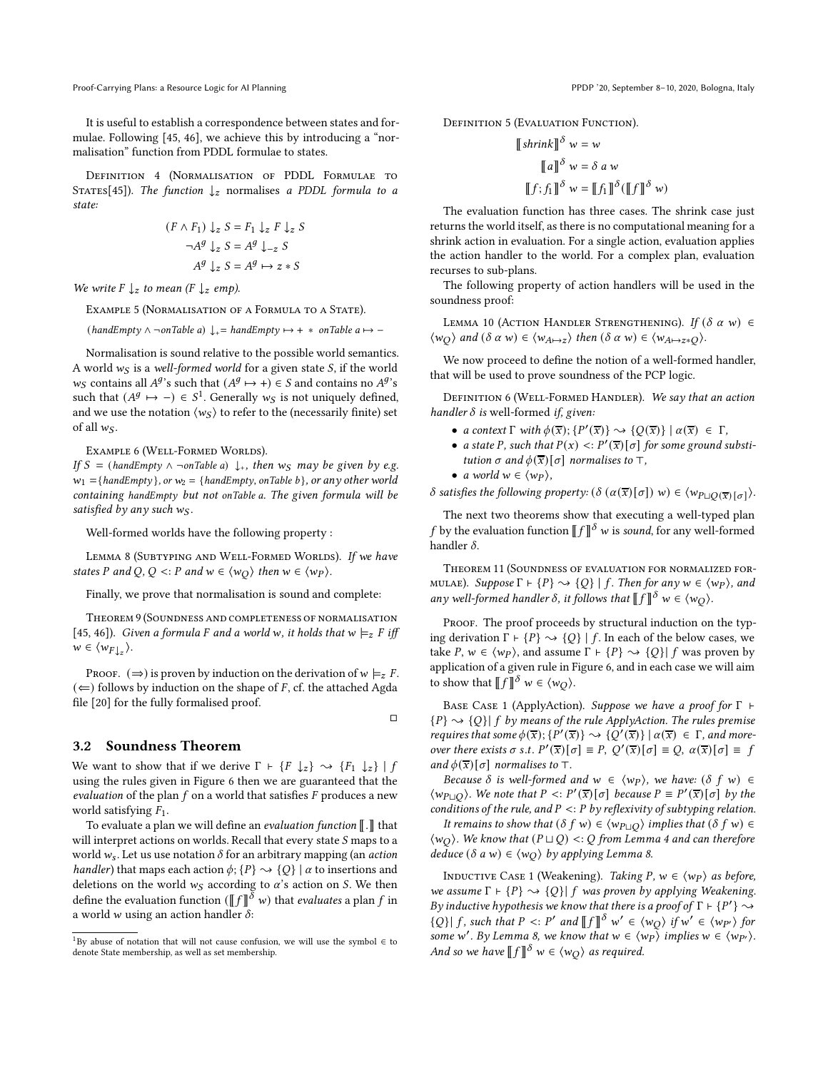Proof-Carrying Plans: a Resource Logic for AI Planning PPDP '20, September 8-10, 2020, Bologna, Italy

It is useful to establish a correspondence between states and formulae. Following [\[45,](#page-12-28) [46\]](#page-12-31), we achieve this by introducing a "normalisation" function from PDDL formulae to states.

Definition 4 (Normalisation of PDDL Formulae to STATES[\[45](#page-12-28)]). The function  $\downarrow$ <sub>z</sub> normalises a PDDL formula to a state:

$$
(F \wedge F_1) \downarrow z S = F_1 \downarrow z F \downarrow z S
$$

$$
\neg A^g \downarrow z S = A^g \downarrow_{-z} S
$$

$$
A^g \downarrow z S = A^g \mapsto z * S
$$

We write  $F \downarrow_z$  to mean ( $F \downarrow_z$  emp).

Example 5 (Normalisation of a Formula to a State).

 $(handEmpty \wedge \neg onTable a) \downarrow_{+} = handEmpty \mapsto + * onTable a \mapsto -$ 

Normalisation is sound relative to the possible world semantics. A world  $w<sub>S</sub>$  is a well-formed world for a given state  $S$ , if the world  $w_S$  contains all  $A^g$ 's such that  $(A^g \mapsto +) \in S$  and contains no  $A^g$ 's such that  $(A^g \mapsto -) \in S^1$  $(A^g \mapsto -) \in S^1$ . Generally  $w_S$  is not uniquely defined, and we use the notation  $\langle w_S \rangle$  to refer to the (necessarily finite) set of all  $w_S$ .

EXAMPLE 6 (WELL-FORMED WORLDS).

If  $S =$  (handEmpty  $\wedge \neg on$ Table a)  $\downarrow$ , then  $w_S$  may be given by e.g.  $w_1 =$ {handEmpty}, or  $w_2 =$ {handEmpty, onTable b}, or any other world containing handEmpty but not onTable a. The given formula will be satisfied by any such  $w_S$ .

Well-formed worlds have the following property :

<span id="page-6-1"></span>LEMMA 8 (SUBTYPING AND WELL-FORMED WORLDS). If we have states P and Q, Q <: P and  $w \in \langle w_Q \rangle$  then  $w \in \langle w_P \rangle$ .

Finally, we prove that normalisation is sound and complete:

<span id="page-6-3"></span>Theorem 9 (Soundness and completeness of normalisation [\[45](#page-12-28), [46\]](#page-12-31)). Given a formula F and a world w, it holds that  $w \models z F$  iff  $w \in \langle w_{F\downarrow_z} \rangle$ .

PROOF.  $(\Rightarrow)$  is proven by induction on the derivation of  $w \models_z F$ .  $(\Leftarrow)$  follows by induction on the shape of F, cf. the attached Agda file [\[20\]](#page-12-23) for the fully formalised proof.

#### 3.2 Soundness Theorem

We want to show that if we derive  $\Gamma \vdash \{F \downarrow z\} \rightarrow \{F_1 \downarrow z\} | f$ using the rules given in Figure [6](#page-5-1) then we are guaranteed that the evaluation of the plan  $f$  on a world that satisfies  $F$  produces a new world satisfying  $F_1$ .

To evaluate a plan we will define an *evaluation function*  $\llbracket . \rrbracket$  that will interpret actions on worlds. Recall that every state  $S$  maps to a world  $w_s$ . Let us use notation  $\delta$  for an arbitrary mapping (an *action handler*) that maps each action  $\phi$ ;  $\{P\} \sim \{Q\} | \alpha$  to insertions and deletions on the world  $w_S$  according to  $\alpha$ 's action on S. We then define the evaluation function ( $\llbracket f \rrbracket^\delta$   $w$ ) that *evaluates* a plan  $f$  in a world  $w$  using an action handler  $\delta$ :

DEFINITION 5 (EVALUATION FUNCTION).

$$
\begin{aligned} [\![\textit{shrink}]\!]^\delta & w &= w \\ \text{if } a \text{ }\!]^\delta & w &= \delta \, a \, w \\ \text{if } f; f_1 \text{ }\!]^\delta & w &= [\![f_1]\!]^\delta (\text{ }\! [\![f]\!]^\delta \, w) \end{aligned}
$$

The evaluation function has three cases. The shrink case just returns the world itself, as there is no computational meaning for a shrink action in evaluation. For a single action, evaluation applies the action handler to the world. For a complex plan, evaluation recurses to sub-plans.

The following property of action handlers will be used in the soundness proof:

<span id="page-6-2"></span>LEMMA 10 (ACTION HANDLER STRENGTHENING). If  $(\delta \alpha w) \in$  $\langle w_O \rangle$  and  $(\delta \alpha w) \in \langle w_{A \mapsto z} \rangle$  then  $(\delta \alpha w) \in \langle w_{A \mapsto z*O} \rangle$ .

We now proceed to define the notion of a well-formed handler, that will be used to prove soundness of the PCP logic.

DEFINITION 6 (WELL-FORMED HANDLER). We say that an action handler  $\delta$  is well-formed if, given:

- a context  $\Gamma$  with  $\phi(\overline{x}); \{P'(\overline{x})\} \sim \{Q(\overline{x})\} \mid \alpha(\overline{x}) \in \Gamma$ ,
- a state P, such that  $P(x) < P'(\overline{x})[\sigma]$  for some ground substitution σ and  $\phi(\overline{x})[\sigma]$  normalises to  $\top$ ,
- a world  $w \in \langle wp \rangle$ ,

 $\Box$ 

 $\delta$  satisfies the following property:  $(\delta(\alpha(\overline{x})[\sigma])) w \in \langle w_{\text{PLQ}}(\overline{x})[\sigma] \rangle$ .

The next two theorems show that executing a well-typed plan  $f$  by the evaluation function  $\llbracket f \rrbracket^\delta$  w is *sound*, for any well-formed handler  $\delta$ .

<span id="page-6-4"></span>Theorem 11 (Soundness of evaluation for normalized formulae). Suppose Γ  $\vdash \{P\} \rightsquigarrow \{Q\} | f$ . Then for any w ∈  $\langle wp \rangle$ , and any well-formed handler  $\delta$ , it follows that  $\llbracket f \rrbracket^{\delta}$   $w \in \langle w_Q \rangle$ .

PROOF. The proof proceeds by structural induction on the typing derivation  $\Gamma \vdash \{P\} \leadsto \{Q\} | f$ . In each of the below cases, we take *P*,  $w \in \langle w_P \rangle$ , and assume  $\Gamma \vdash \{P\} \sim \{Q\} | f$  was proven by application of a given rule in Figure [6,](#page-5-1) and in each case we will aim to show that  $\llbracket f \rrbracket^\delta$   $w \in \langle w_Q \rangle$ .

BASE CASE 1 (ApplyAction). Suppose we have a proof for Γ ⊢  ${P} \leadsto {Q} | f$  by means of the rule ApplyAction. The rules premise requires that some  $\phi(\overline{x}); \{P'(\overline{x})\} \rightsquigarrow \{Q'(\overline{x})\} | \alpha(\overline{x}) \in \Gamma$ , and moreover there exists  $\sigma$  s.t.  $P'(\overline{x})[\sigma] \equiv P$ ,  $Q'(\overline{x})[\sigma] \equiv Q$ ,  $\alpha(\overline{x})[\sigma] \equiv f$ and  $\phi(\overline{x})[\sigma]$  normalises to ⊤.

Because  $\delta$  is well-formed and  $w \in \langle wp \rangle$ , we have:  $(\delta f w) \in$  $\langle w_{P \sqcup Q} \rangle$ . We note that  $P \le P'(\overline{x})[\sigma]$  because  $P \equiv P'(\overline{x})[\sigma]$  by the conditions of the rule, and  $P \le P$  by reflexivity of subtyping relation.

It remains to show that  $(\delta f w) \in \langle w_{P \cup Q} \rangle$  implies that  $(\delta f w) \in$  $\langle w_O \rangle$ . We know that  $(P \sqcup Q)$  <: Q from Lemma [4](#page-3-1) and can therefore deduce ( $\delta$  a w) ∈  $\langle w_O \rangle$  by applying Lemma [8.](#page-6-1)

INDUCTIVE CASE 1 (Weakening). Taking  $P, w \in \langle wp \rangle$  as before, we assume  $\Gamma \vdash \{P\} \leadsto \{Q\} | f$  was proven by applying Weakening. By inductive hypothesis we know that there is a proof of  $\Gamma \vdash \{P'\} \leadsto$  ${Q} | f$ , such that  $P \leq P'$  and  $[||f||] \delta w' \in \langle w_Q \rangle$  if  $w' \in \langle w_{P'} \rangle$  for some w'. By Lemma [8,](#page-6-1) we know that  $w \in \langle wp \rangle$  implies  $w \in \langle wp' \rangle$ . And so we have  $\llbracket f \rrbracket^\delta$   $w \in \langle w_Q \rangle$  as required.

<span id="page-6-0"></span><sup>&</sup>lt;sup>1</sup>By abuse of notation that will not cause confusion, we will use the symbol  $\in$  to denote State membership, as well as set membership.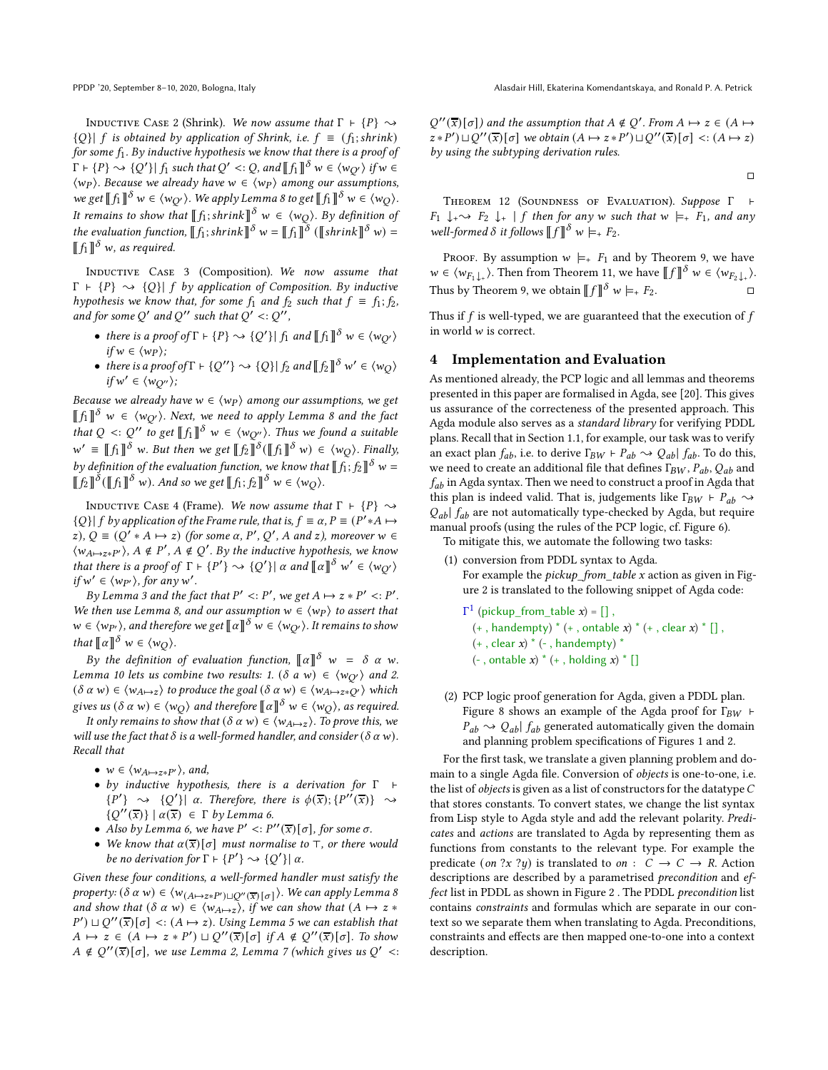INDUCTIVE CASE 2 (Shrink). We now assume that  $\Gamma \vdash \{P\} \sim$  ${Q}$ |  $f$  is obtained by application of Shrink, i.e.  $f \equiv (f_1; \text{shrink})$ for some  $f_1$ . By inductive hypothesis we know that there is a proof of  $\Gamma \vdash \{P\} \leadsto \{Q'\} | f_1 \text{ such that } Q' <: Q \text{, and } \llbracket f_1 \rrbracket^\delta \le \langle w_{Q'} \rangle \text{ if } w \in C.$  $\langle wp \rangle$ . Because we already have  $w \in \langle wp \rangle$  among our assumptions, we get  $\llbracket f_1 \rrbracket^\delta$   $w \in \langle w_Q \rangle$ . We apply Lemma [8](#page-6-1) to get  $\llbracket f_1 \rrbracket^\delta$   $w \in \langle w_Q \rangle$ . It remains to show that  $\llbracket f_1;shrink \rrbracket^\delta$   $w \in \langle w_Q \rangle$ . By definition of the evaluation function,  $\llbracket f_1$ ; shrink $\rrbracket^\delta$  w =  $\llbracket f_1 \rrbracket^\delta$  ( $\llbracket$ shrink $\rrbracket^\delta$  w) =  $\llbracket f_1 \rrbracket^\delta$  w, as required.

Inductive Case 3 (Composition). We now assume that  $\Gamma$  +  $\{P\} \sim \{Q\}$  f by application of Composition. By inductive hypothesis we know that, for some  $f_1$  and  $f_2$  such that  $f = f_1; f_2$ , and for some Q' and Q'' such that  $Q' < : Q''$ ,

- there is a proof of  $\Gamma \vdash \{P\} \leadsto \{Q'\}$  |  $f_1$  and  $\llbracket f_1 \rrbracket^\delta w \in \langle w_{Q'} \rangle$  $if w \in \langle w_P \rangle$ ;
- there is a proof of  $\Gamma \vdash \{Q''\} \leadsto \{Q\} \mid f_2$  and  $\llbracket f_2 \rrbracket^{\delta}$  w'  $\in \langle w_Q \rangle$  $if w' \in \langle w_{Q''} \rangle;$

Because we already have  $w \in \langle w_P \rangle$  among our assumptions, we get  $\llbracket f_1 \rrbracket^\delta$  w  $\in$   $\langle w_{Q'} \rangle$ . Next, we need to apply Lemma [8](#page-6-1) and the fact that  $Q \leq Q''$  to get  $\llbracket f_1 \rrbracket^{\delta}$   $w \in \langle w_{Q''}\rangle$ . Thus we found a suitable  $w' \equiv \llbracket f_1 \rrbracket^{\delta}$  w. But then we get  $\llbracket f_2 \rrbracket^{\delta}(\llbracket f_1 \rrbracket^{\delta} w) \in \langle w_Q \rangle$ . Finally, by definition of the evaluation function, we know that  $\llbracket f_1; f_2 \rrbracket^\delta$  w =  $\llbracket f_2 \rrbracket^{\delta} (\llbracket f_1 \rrbracket^{\delta} w)$ . And so we get  $\llbracket f_1; f_2 \rrbracket^{\delta} w \in \langle w_Q \rangle$ .

INDUCTIVE CASE 4 (Frame). We now assume that  $\Gamma$  ⊢  $\{P\} \sim$  ${Q} | f by application of the Frame rule, that is,  $f \equiv \alpha, P \equiv (P' * A \mapsto P)$$ z),  $Q \equiv (Q' * A \mapsto z)$  (for some  $\alpha$ , P', Q', A and z), moreover  $w \in$  $\langle w_{A\mapsto z*P'}\rangle$ ,  $A \notin P'$ ,  $A \notin Q'$ . By the inductive hypothesis, we know that there is a proof of  $\Gamma \vdash \{P'\} \leadsto \{Q'\} \vert \alpha$  and  $\llbracket \alpha \rrbracket^{\delta}$   $w' \in \langle w_{Q'} \rangle$ if  $w' \in \langle w_{P'} \rangle$ , for any w'.

By Lemma [3](#page-3-2) and the fact that  $P' < P'$ , we get  $A \mapsto z * P' < P'$ . We then use Lemma [8,](#page-6-1) and our assumption  $w \in \langle wp \rangle$  to assert that  $w \in \langle w_{P'} \rangle$ , and therefore we get  $\llbracket \alpha \rrbracket^\delta$   $w \in \langle w_{Q'} \rangle$ . It remains to show that  $\llbracket \alpha \rrbracket^{\delta} w \in \langle w_Q \rangle$ .

By the definition of evaluation function,  $\llbracket \alpha \rrbracket^{\delta}$  w =  $\delta$   $\alpha$  w. Lemma [10](#page-6-2) lets us combine two results: 1. ( $\delta$  a w)  $\in \langle w_{Q'} \rangle$  and 2.  $(\delta \alpha w) \in \langle w_{A \mapsto z} \rangle$  to produce the goal  $(\delta \alpha w) \in \langle w_{A \mapsto z*Q'} \rangle$  which gives us  $(\delta \ \alpha \ w) \in \langle w_Q \rangle$  and therefore  $\llbracket \alpha \rrbracket^\delta \ w \in \langle w_Q \rangle$ , as required.

It only remains to show that  $(\delta \alpha w) \in \langle w_{A \mapsto z} \rangle$ . To prove this, we will use the fact that  $\delta$  is a well-formed handler, and consider ( $\delta \alpha w$ ). Recall that

- $w \in \langle w_{A \mapsto z*P'} \rangle$ , and,
- by inductive hypothesis, there is a derivation for Γ ⊢  ${P'} \rightarrow {Q'} |\alpha$ . Therefore, there is  $\phi(\overline{x}); {P''}(\overline{x})$   $\leadsto$  $\{Q''(\overline{x})\}$   $\mid \alpha(\overline{x}) \in \Gamma$  by Lemma [6.](#page-5-3)
- Also by Lemma [6,](#page-5-3) we have  $P' \leq P''(\overline{x})[\sigma]$ , for some  $\sigma$ .
- We know that  $\alpha(\bar{x})[\sigma]$  must normalise to ⊤, or there would be no derivation for  $\Gamma \vdash \{P'\} \rightsquigarrow \{Q'\}|\alpha$ .

Given these four conditions, a well-formed handler must satisfy the property: (δ  $\alpha$  w)  $\in \langle w_{(A \mapsto z*P') \sqcup Q''(\overline{x})[\sigma]} \rangle$ . We can apply Lemma [8](#page-6-1) and show that  $(\delta \alpha w) \in \langle w_{A \mapsto z} \rangle$ , if we can show that  $(A \mapsto z *$  $(P') \sqcup Q''(\overline{x})[\sigma] \prec (A \mapsto z)$ . Using Lemma [5](#page-3-3) we can establish that  $A \mapsto z \in (A \mapsto z * P') \sqcup Q''(\overline{x})[\sigma]$  if  $A \notin Q''(\overline{x})[\sigma]$ . To show  $A \notin Q''(\overline{x})[\sigma]$ , we use Lemma [2,](#page-3-4) Lemma [7](#page-5-4) (which gives us  $Q'$  <:  $Q''(\overline{x})[\sigma]$  and the assumption that  $A \notin Q'$ . From  $A \mapsto z \in (A \mapsto$  $(z * P') \sqcup Q''(\overline{x})[\sigma]$  we obtain  $(A \mapsto z * P') \sqcup Q''(\overline{x})[\sigma] \prec (A \mapsto z)$ by using the subtyping derivation rules.

$$
\Box
$$

Theorem 12 (Soundness of Evaluation). Suppose Γ ⊢  $F_1 \downarrow_{+} \rightarrow F_2 \downarrow_{+} | f$  then for any w such that  $w \models_{+} F_1$ , and any well-formed  $\delta$  it follows  $\llbracket f \rrbracket^{\delta}$  w  $\models_{+} F_2$ .

PROOF. By assumption  $w \models_{+} F_1$  and by Theorem [9,](#page-6-3) we have  $w \in \langle w_{F_1 \downarrow_+} \rangle$ . Then from Theorem [11,](#page-6-4) we have  $\llbracket f \rrbracket^{\delta} w \in \langle w_{F_2 \downarrow_+} \rangle$ . Thus by Theorem [9,](#page-6-3) we obtain  $\llbracket f \rrbracket^{\delta} w \models_{+} F_2$ .

<span id="page-7-0"></span>Thus if  $f$  is well-typed, we are guaranteed that the execution of  $f$ in world  $w$  is correct.

#### 4 Implementation and Evaluation

As mentioned already, the PCP logic and all lemmas and theorems presented in this paper are formalised in Agda, see [\[20](#page-12-23)]. This gives us assurance of the correcteness of the presented approach. This Agda module also serves as a standard library for verifying PDDL plans. Recall that in Section [1.1,](#page-1-1) for example, our task was to verify an exact plan  $f_{ab}$ , i.e. to derive  $\Gamma_{BW} \vdash P_{ab} \leadsto Q_{ab} | f_{ab}$ . To do this, we need to create an additional file that defines  $\Gamma_{BW}$ ,  $P_{ab}$ ,  $Q_{ab}$  and  $f_{ab}$  in Agda syntax. Then we need to construct a proof in Agda that this plan is indeed valid. That is, judgements like  $\Gamma_{BW}$  ⊢  $P_{ab}$   $\sim$  $Q_{ab}$   $f_{ab}$  are not automatically type-checked by Agda, but require manual proofs (using the rules of the PCP logic, cf. Figure [6\)](#page-5-1).

To mitigate this, we automate the following two tasks:

- (1) conversion from PDDL syntax to Agda. For example the *pickup* from table  $x$  action as given in Figure [2](#page-1-0) is translated to the following snippet of Agda code:
	- $\Gamma^1$  (pickup\_from\_table *x*) = [],  $(+, \text{handempty})^* (+, \text{ontable } x)^* (+, \text{ clear } x)^*$  $(+, clear x) * (-, handempty) *$  $(-$ , ontable x)  $*(+$ , holding x)  $*$  []
- (2) PCP logic proof generation for Agda, given a PDDL plan. Figure [8](#page-8-0) shows an example of the Agda proof for  $\Gamma_{BW}$  ⊢  $P_{ab} \sim Q_{ab} | f_{ab}$  generated automatically given the domain and planning problem specifications of Figures [1](#page-0-0) and [2.](#page-1-0)

For the first task, we translate a given planning problem and domain to a single Agda file. Conversion of objects is one-to-one, i.e. the list of *objects* is given as a list of constructors for the datatype  $C$ that stores constants. To convert states, we change the list syntax from Lisp style to Agda style and add the relevant polarity. Predicates and actions are translated to Agda by representing them as functions from constants to the relevant type. For example the predicate (on  $?x ?y$ ) is translated to on :  $C \rightarrow C \rightarrow R$ . Action descriptions are described by a parametrised precondition and ef-fect list in PDDL as shown in Figure [2](#page-1-0). The PDDL precondition list contains constraints and formulas which are separate in our context so we separate them when translating to Agda. Preconditions, constraints and effects are then mapped one-to-one into a context description.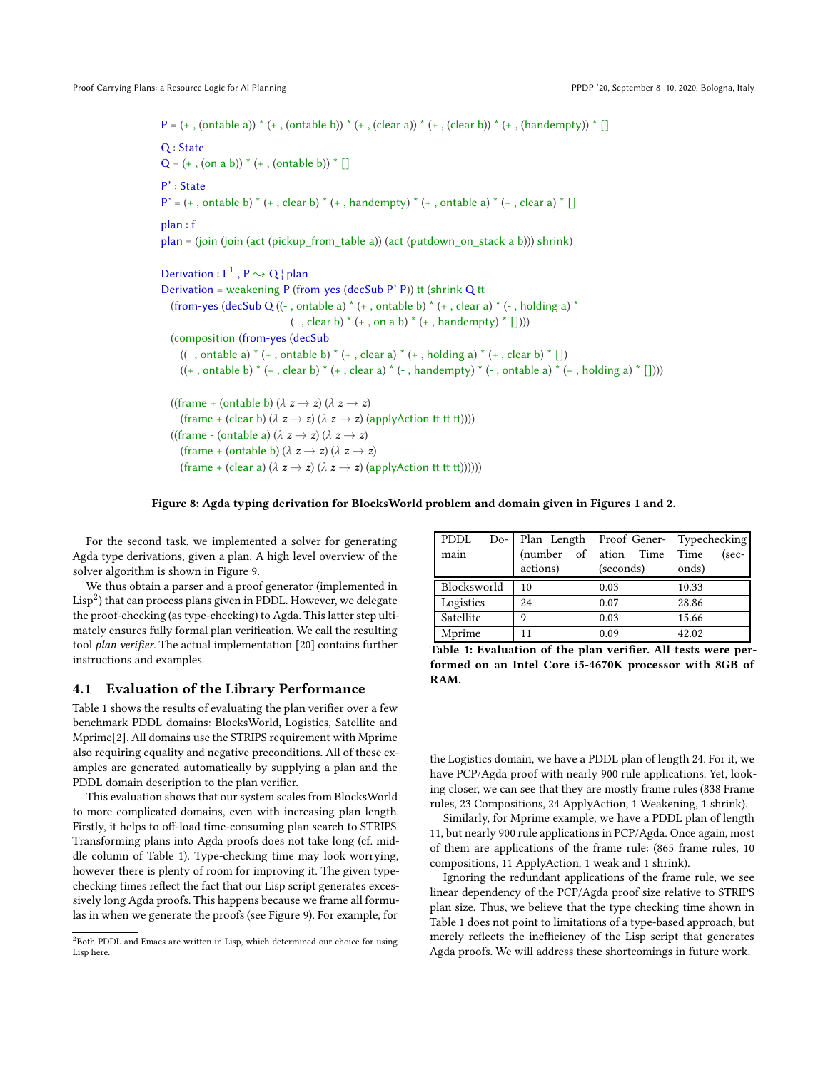<span id="page-8-0"></span> $P = (+, (ontable a)) * (+, (ontable b)) * (+, (clear a)) * (+, (clear b)) * (+, (handempty)) * []$ Q : State  $Q = (+, (on a b)) * (+, (ontable b)) * []$ P' : State  $P' = (+, \text{ ontable b}) * (+, \text{ clear b}) * (+, \text{ handempty}) * (+, \text{ ontable a}) * (+, \text{ clear a}) * []$ plan : f  $plan = (join (join (act (pickup from table a)) (act (putdown on stack a b))) shrink)$ Derivation :  $\Gamma^1$ ,  $P \rightsquigarrow Q$  | plan Derivation = weakening P (from-yes (decSub P' P)) tt (shrink Q tt (from-yes (decSub Q ((-, ontable a)  $*(+$ , ontable b)  $*(+$ , clear a)  $*(-$ , holding a)  $*$  $(-, clear b) * (+, on a b) * (+, handempty) * []$ (composition (from-yes (decSub ((-, ontable a)  $*(+$ , ontable b)  $*(+$ , clear a)  $*(+$ , holding a)  $*(+$ , clear b)  $*$  [])  $((+$ , ontable b)  $*(+$ , clear b)  $*(+$ , clear a)  $*(-$ , handempty)  $*(-$ , ontable a)  $*(+$ , holding a)  $*$  []))) ((frame + (ontable b)  $(\lambda z \rightarrow z) (\lambda z \rightarrow z)$ (frame + (clear b)  $(\lambda z \rightarrow z)$   $(\lambda z \rightarrow z)$  (applyAction tt tt tt)))) ((frame - (ontable a)  $(\lambda z \rightarrow z)$   $(\lambda z \rightarrow z)$ (frame + (ontable b)  $(\lambda z \rightarrow z)$   $(\lambda z \rightarrow z)$ (frame + (clear a)  $(\lambda z \rightarrow z)$   $(\lambda z \rightarrow z)$  (applyAction tt tt tt))))))

### Figure 8: Agda typing derivation for BlocksWorld problem and domain given in Figures [1](#page-0-0) and [2.](#page-1-0)

For the second task, we implemented a solver for generating Agda type derivations, given a plan. A high level overview of the solver algorithm is shown in Figure [9.](#page-9-0)

We thus obtain a parser and a proof generator (implemented in  ${\rm Lisp}^2$  ${\rm Lisp}^2$ ) that can process plans given in PDDL. However, we delegate the proof-checking (as type-checking) to Agda. This latter step ultimately ensures fully formal plan verification. We call the resulting tool plan verifier. The actual implementation [\[20\]](#page-12-23) contains further instructions and examples.

#### 4.1 Evaluation of the Library Performance

Table [1](#page-8-2) shows the results of evaluating the plan verifier over a few benchmark PDDL domains: BlocksWorld, Logistics, Satellite and Mprime[\[2](#page-12-32)]. All domains use the STRIPS requirement with Mprime also requiring equality and negative preconditions. All of these examples are generated automatically by supplying a plan and the PDDL domain description to the plan verifier.

This evaluation shows that our system scales from BlocksWorld to more complicated domains, even with increasing plan length. Firstly, it helps to off-load time-consuming plan search to STRIPS. Transforming plans into Agda proofs does not take long (cf. middle column of Table [1\)](#page-8-2). Type-checking time may look worrying, however there is plenty of room for improving it. The given typechecking times reflect the fact that our Lisp script generates excessively long Agda proofs. This happens because we frame all formulas in when we generate the proofs (see Figure [9\)](#page-9-0). For example, for

<span id="page-8-2"></span>

| PDDL        | Do- Plan Length Proof Gener- Typechecking |                            |         |
|-------------|-------------------------------------------|----------------------------|---------|
| main        |                                           | (number of ation Time Time | $(sec-$ |
|             | actions)                                  | (seconds)                  | onds)   |
| Blocksworld | 10                                        | 0.03                       | 10.33   |
| Logistics   | 24                                        | 0.07                       | 28.86   |
| Satellite   | a                                         | 0.03                       | 15.66   |
| Mprime      | 11                                        | 0.09                       | 42.02   |

Table 1: Evaluation of the plan verifier. All tests were performed on an Intel Core i5-4670K processor with 8GB of RAM.

the Logistics domain, we have a PDDL plan of length 24. For it, we have PCP/Agda proof with nearly 900 rule applications. Yet, looking closer, we can see that they are mostly frame rules (838 Frame rules, 23 Compositions, 24 ApplyAction, 1 Weakening, 1 shrink).

Similarly, for Mprime example, we have a PDDL plan of length 11, but nearly 900 rule applications in PCP/Agda. Once again, most of them are applications of the frame rule: (865 frame rules, 10 compositions, 11 ApplyAction, 1 weak and 1 shrink).

<span id="page-8-3"></span>Ignoring the redundant applications of the frame rule, we see linear dependency of the PCP/Agda proof size relative to STRIPS plan size. Thus, we believe that the type checking time shown in Table [1](#page-8-2) does not point to limitations of a type-based approach, but merely reflects the inefficiency of the Lisp script that generates Agda proofs. We will address these shortcomings in future work.

<span id="page-8-1"></span><sup>&</sup>lt;sup>2</sup>Both PDDL and Emacs are written in Lisp, which determined our choice for using Lisp here.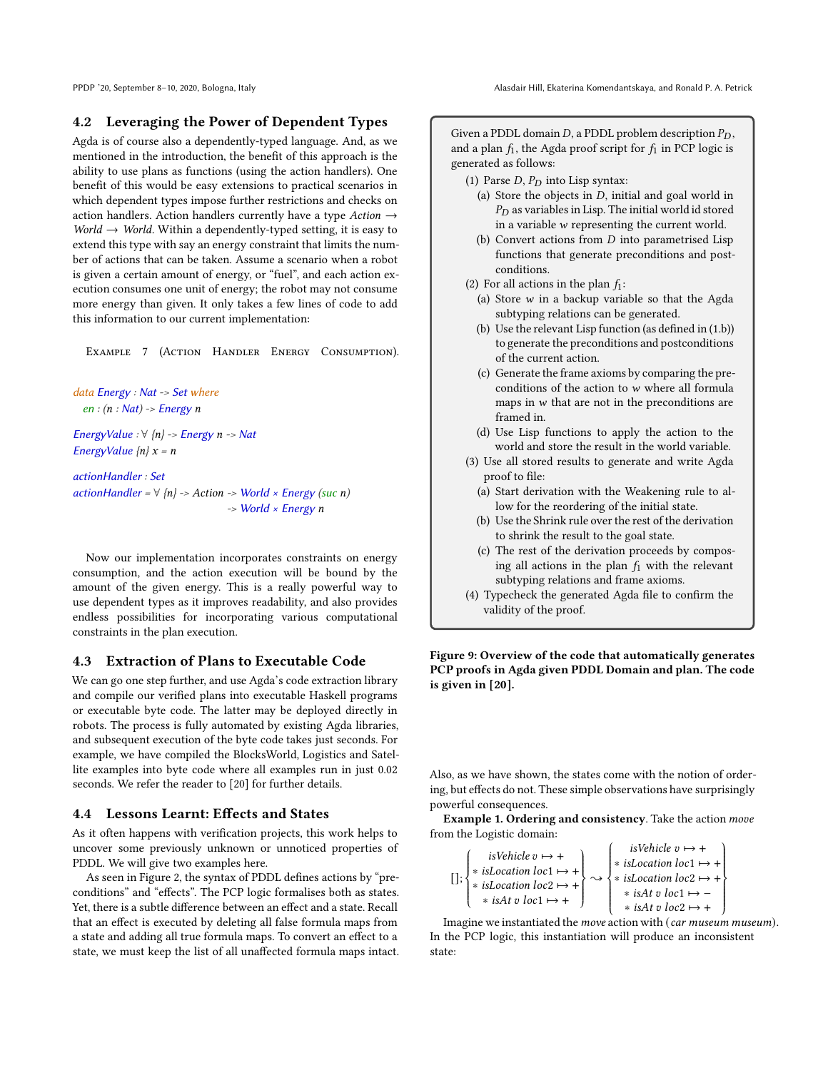# 4.2 Leveraging the Power of Dependent Types

Agda is of course also a dependently-typed language. And, as we mentioned in the introduction, the benefit of this approach is the ability to use plans as functions (using the action handlers). One benefit of this would be easy extensions to practical scenarios in which dependent types impose further restrictions and checks on action handlers. Action handlers currently have a type Action  $\rightarrow$ World  $\rightarrow$  World. Within a dependently-typed setting, it is easy to extend this type with say an energy constraint that limits the number of actions that can be taken. Assume a scenario when a robot is given a certain amount of energy, or "fuel", and each action execution consumes one unit of energy; the robot may not consume more energy than given. It only takes a few lines of code to add this information to our current implementation:

Example 7 (Action Handler Energy Consumption).

```
data Energy : Nat -> Set where
  en : (n : Nat) \rightarrow Energy nEnergyValue : \forall {n} -> Energy n -> Nat
```
EnergyValue  $\{n\}$   $x = n$ 

actionHandler : Set actionHandler =  $\forall$  {n} -> Action -> World × Energy (suc n)  $\rightarrow$  World  $\times$  Energy n

Now our implementation incorporates constraints on energy consumption, and the action execution will be bound by the amount of the given energy. This is a really powerful way to use dependent types as it improves readability, and also provides endless possibilities for incorporating various computational constraints in the plan execution.

# 4.3 Extraction of Plans to Executable Code

We can go one step further, and use Agda's code extraction library and compile our verified plans into executable Haskell programs or executable byte code. The latter may be deployed directly in robots. The process is fully automated by existing Agda libraries, and subsequent execution of the byte code takes just seconds. For example, we have compiled the BlocksWorld, Logistics and Satellite examples into byte code where all examples run in just 0.02 seconds. We refer the reader to [\[20](#page-12-23)] for further details.

#### 4.4 Lessons Learnt: Effects and States

As it often happens with verification projects, this work helps to uncover some previously unknown or unnoticed properties of PDDL. We will give two examples here.

As seen in Figure [2,](#page-1-0) the syntax of PDDL defines actions by "preconditions" and "effects". The PCP logic formalises both as states. Yet, there is a subtle difference between an effect and a state. Recall that an effect is executed by deleting all false formula maps from a state and adding all true formula maps. To convert an effect to a state, we must keep the list of all unaffected formula maps intact.

<span id="page-9-0"></span>Given a PDDL domain  $D$ , a PDDL problem description  $P_D$ , and a plan  $f_1$ , the Agda proof script for  $f_1$  in PCP logic is generated as follows:

- (1) Parse  $D$ ,  $P_D$  into Lisp syntax:
	- (a) Store the objects in  $D$ , initial and goal world in  $P_D$  as variables in Lisp. The initial world id stored in a variable  $w$  representing the current world.
	- (b) Convert actions from  $D$  into parametrised Lisp functions that generate preconditions and postconditions.
- (2) For all actions in the plan  $f_1$ :
	- (a) Store  $w$  in a backup variable so that the Agda subtyping relations can be generated.
	- (b) Use the relevant Lisp function (as defined in (1.b)) to generate the preconditions and postconditions of the current action.
	- (c) Generate the frame axioms by comparing the preconditions of the action to  $w$  where all formula maps in  $w$  that are not in the preconditions are framed in.
	- (d) Use Lisp functions to apply the action to the world and store the result in the world variable.
- (3) Use all stored results to generate and write Agda proof to file:
	- (a) Start derivation with the Weakening rule to allow for the reordering of the initial state.
	- (b) Use the Shrink rule over the rest of the derivation to shrink the result to the goal state.
	- (c) The rest of the derivation proceeds by composing all actions in the plan  $f_1$  with the relevant subtyping relations and frame axioms.
- (4) Typecheck the generated Agda file to confirm the validity of the proof.

Figure 9: Overview of the code that automatically generates PCP proofs in Agda given PDDL Domain and plan. The code is given in [\[20\]](#page-12-23).

Also, as we have shown, the states come with the notion of ordering, but effects do not. These simple observations have surprisingly powerful consequences.

Example 1. Ordering and consistency. Take the action move from the Logistic domain:

$$
[]
$$
:  
\n
$$
\begin{cases}\n isVehicle \, v \mapsto + \\
 * \, isLocation \, loc1 \mapsto + \\
 * \, isLocation \, loc2 \mapsto + \\
 * \, isAt \, v \, loc1 \mapsto + \\
 * \, isAt \, v \, loc2 \mapsto + \\
 * \, isAt \, v \, loc2 \mapsto + \\
 * \, isAt \, v \, loc2 \mapsto + \\
 * \, isAt \, v \, loc2 \mapsto + \\
 * \, isAt \, v \, loc2 \mapsto + \\
 * \, isAt \, v \, loc2 \mapsto + \\
 * \, isAt \, v \, loc2 \mapsto + \\
 * \, isAt \, v \, loc2 \mapsto + \\
 *\, isAt \, v \, loc2 \mapsto + \\
 *\, isAt \, v \, loc2 \mapsto + \\
 *\, isAt \, v \, loc2 \mapsto + \\
 *\, isAt \, v \, loc2 \mapsto + \\
 *\, isAt \, v \, loc2 \mapsto + \\
 *\, isAt \, v \, loc2 \mapsto + \\
 *\, isAt \, v \, loc2 \mapsto + \\
 *\, isAt \, v \, loc2 \mapsto + \\
 *\, isAt \, v \, loc2 \mapsto + \\
 *\, isAt \, v \, loc2 \mapsto + \\
 *\, isAt \, v \, loc2 \mapsto + \\
 *\, isAt \, v \, loc2 \mapsto + \\
 *\, isAt \, v \, loc2 \mapsto + \\
 *\, isAt \, v \, loc2 \mapsto + \\
 *\, isAt \, v \, loc2 \mapsto + \\
 *\, isAt \, v \, loc2 \mapsto + \\
 *\, isAt \, v \, loc2 \mapsto + \\
 *\, isAt \, v \, loc2 \mapsto + \\
 *\, isAt \, v \, loc2 \mapsto + \\
 *\, isAt \, v \, loc2 \mapsto + \\
 *\, isAt \, v \, loc2 \mapsto + \\
 *\, isAt \, v \, loc2 \mapsto + \\
 *\, isAt \, v \, loc2 \mapsto + \\
 *\, isAt \, v \, loc2 \mapsto + \\
 *\, isAt \, v \, loc2 \mapsto + \\
 *\, isAt \, v \, loc2 \mapsto + \\
 *\, isAt \, v \, loc2 \mapsto + \\
 *\, isAt \, v \, loc2 \mapsto + \\
 *\, isAt \, v \, loc2 \mapsto + \\
 *\, isAt \, v \, loc3 \mapsto - \\
 *\, isAt \, v \, loc3 \mapsto - \\
 *\, isAt \, v \, loc3 \mapsto - \\
 *\, isAt \, v \, loc3 \mapsto - \\
 *\, isAt \, v \, loc3 \mapsto - \\
 *\, isAt
$$

Imagine we instantiated the *move* action with (*car museum museum*). In the PCP logic, this instantiation will produce an inconsistent state: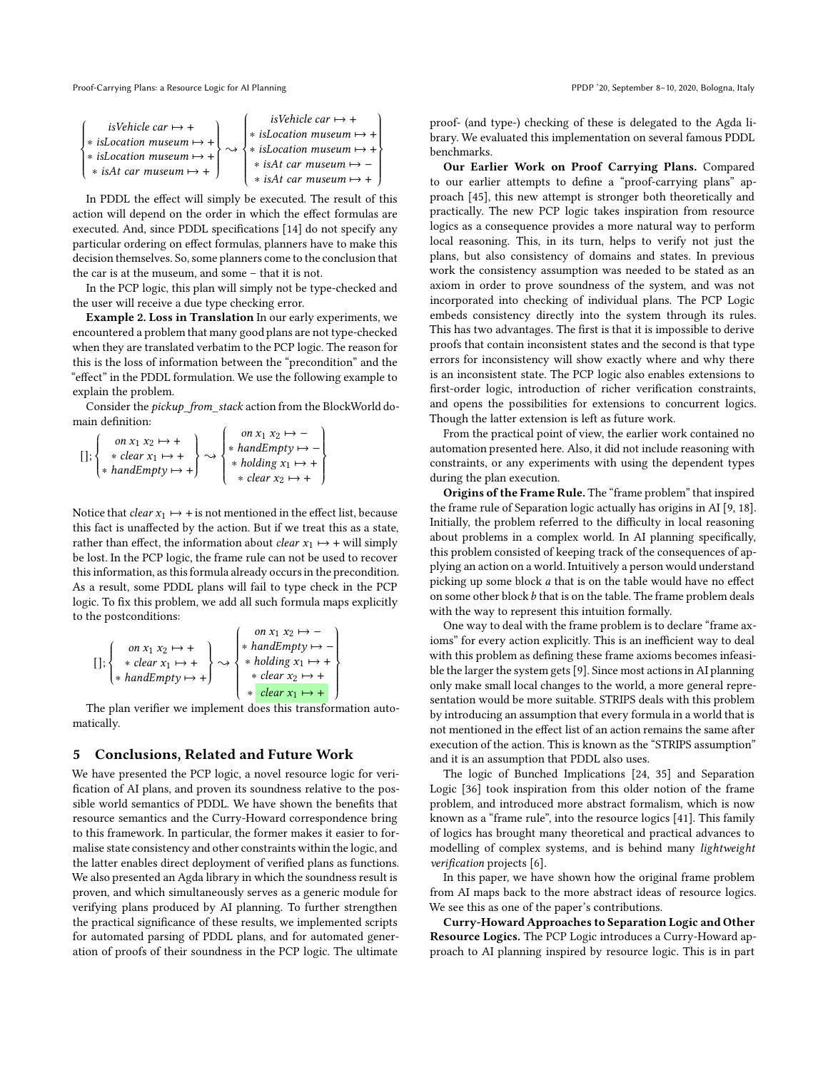Proof-Carrying Plans: a Resource Logic for AI Planning PPDP '20, September 8-10, 2020, Bologna, Italy

$$
\begin{cases}\n \quad \text{isVehicle car} \mapsto + \\
 * \text{ isLocation museum} \mapsto + \\
 * \text{ isLocation museum} \mapsto + \\
 * \text{ isAct armuseum} \mapsto + \\
 * \text{ isArt car museum} \mapsto + \\
 * \text{ isArt car museum} \mapsto + \\
 *\text{ isArt car museum} \mapsto + \\
 *\text{ isArt car museum} \mapsto + \\
 *\text{ isArt car museum} \mapsto + \\
 *\text{ isArt car museum} \mapsto + \\
 *\text{ isArt car museum} \mapsto + \\
 *\text{ isArt car museum} \mapsto + \\
 *\text{ isArt car museum} \mapsto + \\
 *\text{ isArt car museum} \mapsto + \\
 *\text{ isArt car museum} \mapsto + \\
 *\text{ isArt car museum} \mapsto + \\
 *\text{ isart car museum} \mapsto + \\
 *\text{ isart car} \mapsto + \\
 *\text{ isart car} \mapsto + \\
 *\text{ isart car} \mapsto + \\
 *\text{ isart car} \mapsto + \\
 *\text{ isart car} \mapsto + \\
 *\text{ isart car} \mapsto + \\
 *\text{ isart car} \mapsto + \\
 *\text{ isart car} \mapsto + \\
 *\text{ isart car} \mapsto + \\
 *\text{ isart car} \mapsto + \\
 *\text{ isart car} \mapsto + \\
 *\text{ isart car} \mapsto + \\
 *\text{ isart car} \mapsto + \\
 *\text{ isart car} \mapsto + \\
 *\text{ isart car} \mapsto + \\
 *\text{ isart car} \mapsto + \\
 *\text{ isart car} \mapsto + \\
 *\text{ isart car} \mapsto + \\
 *\text{ isart car} \mapsto + \\
 *\text{ isart car} \mapsto + \\
 *\text{ isart car} \mapsto + \\
 *\text{ isart car} \mapsto + \\
 *\text{ isart car} \mapsto + \\
 *\text{ isart car} \mapsto + \\
 *\text{ isart car} \mapsto + \\
 *\text{ isart car} \mapsto + \\
 *\text{ isart car} \mapsto + \\
 *\text{ isart car} \mapsto + \\
 *\text{ isart car} \mapsto + \\
 *\text{ isart car} \mapsto + \\
 *\text{ isart car} \mapsto + \\
 *\text{ isart car} \mapsto + \\
 *\text{ isart car} \mapsto + \\
 *\text{ isart car} \mapsto + \\
 *\text{ isart car} \mapsto + \\
 *\text{ isart car} \mapsto + \\
 *\text{ isart car} \mapsto + \\
 *\text{ isart car} \mapsto + \\
 *\text{ isart car} \mapsto + \\
 *\text{ isart car} \mapsto + \\
 *\text{ isart car} \mapsto + \\
 *\text{ isart car} \mapsto + \\
 *\text{ isart car} \mapsto + \\
 *\text{ isart car} \mapsto + \\
 *\
$$

 In PDDL the effect will simply be executed. The result of this action will depend on the order in which the effect formulas are executed. And, since PDDL specifications [\[14](#page-12-30)] do not specify any particular ordering on effect formulas, planners have to make this decision themselves. So, some planners come to the conclusion that the car is at the museum, and some – that it is not.

In the PCP logic, this plan will simply not be type-checked and the user will receive a due type checking error.

Example 2. Loss in Translation In our early experiments, we encountered a problem that many good plans are not type-checked when they are translated verbatim to the PCP logic. The reason for this is the loss of information between the "precondition" and the "effect" in the PDDL formulation. We use the following example to explain the problem.

Consider the *pickup\_from\_stack* action from the BlockWorld domain definition:  $\overline{1}$ 

J.

 $\overline{\phantom{a}}$ 

$$
[]
$$
  $\left\{\n \begin{array}{l}\n \text{on } x_1 \ x_2 \ \mapsto + \\
 \text{* clear } x_1 \ \mapsto + \\
 \text{* handEmpty} \ \mapsto + \\
 \text{* holding } x_1 \ \mapsto + \\
 \text{* clear } x_2 \ \mapsto + \\
 \text{* clear } x_2 \ \mapsto + \\
 \end{array}\n \right\}$ 

Notice that *clear*  $x_1 \mapsto +$  is not mentioned in the effect list, because this fact is unaffected by the action. But if we treat this as a state, rather than effect, the information about *clear*  $x_1 \mapsto$  + will simply be lost. In the PCP logic, the frame rule can not be used to recover this information, as this formula already occurs in the precondition. As a result, some PDDL plans will fail to type check in the PCP logic. To fix this problem, we add all such formula maps explicitly to the postconditions:

$$
[]
$$
 
$$
\left\{\n\begin{array}{l}\n\text{on } x_1 \ x_2 \mapsto + \\
\text{secl}(x_1 \mapsto +) \\
\text{on } x_1 \mapsto + \\
\text{on } x_2 \mapsto + \\
\text{on } x_2 \mapsto + \\
\text{socl}(x_1 \mapsto +) \\
\text{socl}(x_2 \mapsto +) \\
\text{socl}(x_1 \mapsto +) \\
\text{socl}(x_2 \mapsto +) \\
\text{socl}(x_1 \mapsto +) \\
\text{socl}(x_2 \mapsto +) \\
\text{socl}(x_1 \mapsto +) \\
\text{socl}(x_2 \mapsto +) \\
\text{socl}(x_1 \mapsto +) \\
\text{socl}(x_2 \mapsto +) \\
\text{socl}(x_1 \mapsto +) \\
\text{socl}(x_2 \mapsto +) \\
\text{socl}(x_1 \mapsto +) \\
\text{socl}(x_2 \mapsto +) \\
\text{socl}(x_1 \mapsto +) \\
\text{socl}(x_2 \mapsto +) \\
\text{socl}(x_1 \mapsto +) \\
\text{socl}(x_2 \mapsto +) \\
\text{socl}(x_1 \mapsto +) \\
\text{socl}(x_2 \mapsto +) \\
\text{socl}(x_1 \mapsto +) \\
\text{socl}(x_2 \mapsto +) \\
\text{socl}(x_1 \mapsto +) \\
\text{socl}(x_2 \mapsto +) \\
\text{socl}(x_1 \mapsto +) \\
\text{socl}(x_2 \mapsto +) \\
\text{socl}(x_1 \mapsto +) \\
\text{socl}(x_2 \mapsto +) \\
\text{socl}(x_1 \mapsto +) \\
\text{socl}(x_2 \mapsto +) \\
\text{socl}(x_1 \mapsto +) \\
\text{socl}(x_2 \mapsto +) \\
\text{socl}(x_1 \mapsto +) \\
\text{socl}(x_2 \mapsto +) \\
\text{socl}(x_1 \mapsto +) \\
\text{socl}(x_2 \mapsto +) \\
\text{socl}(x_1 \mapsto +) \\
\text{socl}(x_2 \mapsto +) \\
\text{socl}(x_1 \mapsto +) \\
\text{socl}(x_2 \mapsto +) \\
\text{socl}(x_1 \mapsto +) \\
\text{socl}(x_2 \mapsto +) \\
\text{socl}(x_1 \mapsto +) \\
\text{socl}(x_2 \mapsto +) \\
\text{socl}(
$$

<span id="page-10-0"></span>The plan verifier we implement does this transformation automatically.

#### 5 Conclusions, Related and Future Work

We have presented the PCP logic, a novel resource logic for verification of AI plans, and proven its soundness relative to the possible world semantics of PDDL. We have shown the benefits that resource semantics and the Curry-Howard correspondence bring to this framework. In particular, the former makes it easier to formalise state consistency and other constraints within the logic, and the latter enables direct deployment of verified plans as functions. We also presented an Agda library in which the soundness result is proven, and which simultaneously serves as a generic module for verifying plans produced by AI planning. To further strengthen the practical significance of these results, we implemented scripts for automated parsing of PDDL plans, and for automated generation of proofs of their soundness in the PCP logic. The ultimate

proof- (and type-) checking of these is delegated to the Agda library. We evaluated this implementation on several famous PDDL benchmarks.

Our Earlier Work on Proof Carrying Plans. Compared to our earlier attempts to define a "proof-carrying plans" approach [\[45\]](#page-12-28), this new attempt is stronger both theoretically and practically. The new PCP logic takes inspiration from resource logics as a consequence provides a more natural way to perform local reasoning. This, in its turn, helps to verify not just the plans, but also consistency of domains and states. In previous work the consistency assumption was needed to be stated as an axiom in order to prove soundness of the system, and was not incorporated into checking of individual plans. The PCP Logic embeds consistency directly into the system through its rules. This has two advantages. The first is that it is impossible to derive proofs that contain inconsistent states and the second is that type errors for inconsistency will show exactly where and why there is an inconsistent state. The PCP logic also enables extensions to first-order logic, introduction of richer verification constraints, and opens the possibilities for extensions to concurrent logics. Though the latter extension is left as future work.

From the practical point of view, the earlier work contained no automation presented here. Also, it did not include reasoning with constraints, or any experiments with using the dependent types during the plan execution.

Origins of the Frame Rule. The "frame problem" that inspired the frame rule of Separation logic actually has origins in AI [\[9](#page-12-26), [18\]](#page-12-27). Initially, the problem referred to the difficulty in local reasoning about problems in a complex world. In AI planning specifically, this problem consisted of keeping track of the consequences of applying an action on a world. Intuitively a person would understand picking up some block  $a$  that is on the table would have no effect on some other block  $b$  that is on the table. The frame problem deals with the way to represent this intuition formally.

One way to deal with the frame problem is to declare "frame axioms" for every action explicitly. This is an inefficient way to deal with this problem as defining these frame axioms becomes infeasible the larger the system gets [\[9](#page-12-26)]. Since most actions in AI planning only make small local changes to the world, a more general representation would be more suitable. STRIPS deals with this problem by introducing an assumption that every formula in a world that is not mentioned in the effect list of an action remains the same after execution of the action. This is known as the "STRIPS assumption" and it is an assumption that PDDL also uses.

The logic of Bunched Implications [\[24,](#page-12-33) [35](#page-12-34)] and Separation Logic [\[36\]](#page-12-20) took inspiration from this older notion of the frame problem, and introduced more abstract formalism, which is now known as a "frame rule", into the resource logics [\[41](#page-12-19)]. This family of logics has brought many theoretical and practical advances to modelling of complex systems, and is behind many lightweight verification projects [\[6](#page-12-18)].

In this paper, we have shown how the original frame problem from AI maps back to the more abstract ideas of resource logics. We see this as one of the paper's contributions.

Curry-Howard Approaches to Separation Logic and Other Resource Logics. The PCP Logic introduces a Curry-Howard approach to AI planning inspired by resource logic. This is in part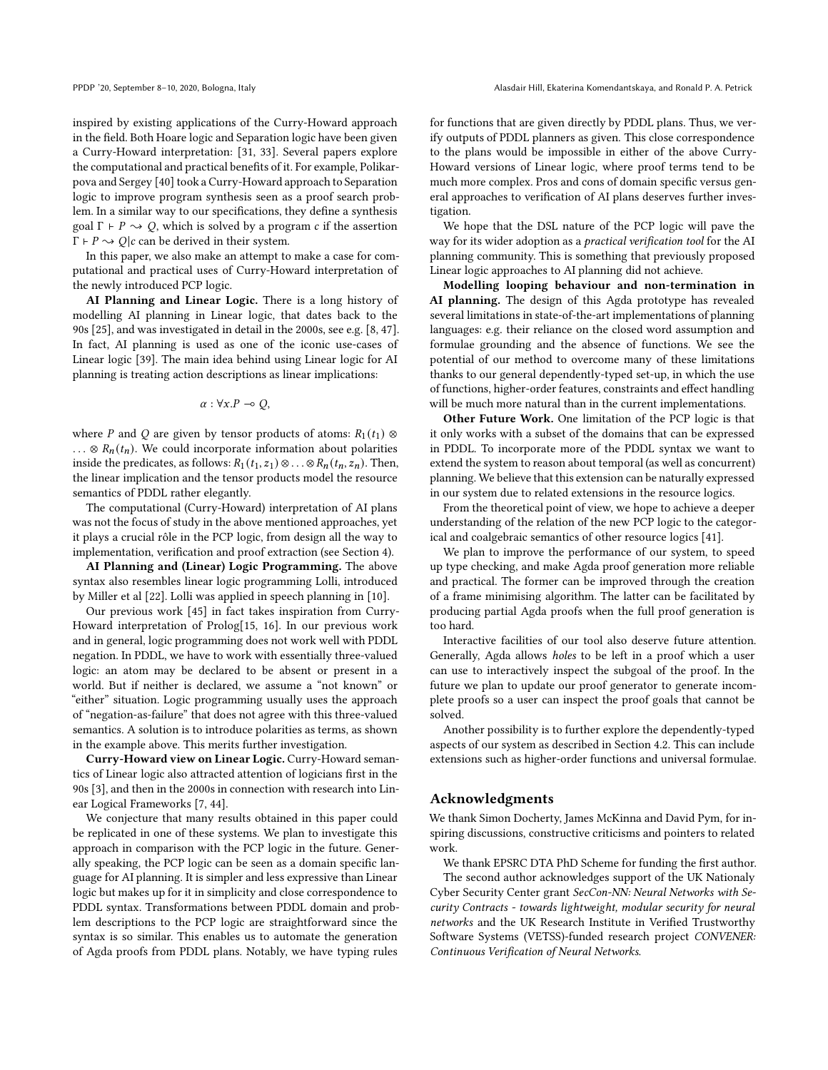inspired by existing applications of the Curry-Howard approach in the field. Both Hoare logic and Separation logic have been given a Curry-Howard interpretation: [\[31](#page-12-35), [33\]](#page-12-36). Several papers explore the computational and practical benefits of it. For example, Polikarpova and Sergey [\[40\]](#page-12-22) took a Curry-Howard approach to Separation logic to improve program synthesis seen as a proof search problem. In a similar way to our specifications, they define a synthesis goal  $\Gamma \vdash P \leadsto Q$ , which is solved by a program c if the assertion  $\Gamma \vdash P \leadsto Q | c$  can be derived in their system.

In this paper, we also make an attempt to make a case for computational and practical uses of Curry-Howard interpretation of the newly introduced PCP logic.

AI Planning and Linear Logic. There is a long history of modelling AI planning in Linear logic, that dates back to the 90s [\[25](#page-12-37)], and was investigated in detail in the 2000s, see e.g. [\[8](#page-12-38), [47](#page-12-39)]. In fact, AI planning is used as one of the iconic use-cases of Linear logic [\[39\]](#page-12-40). The main idea behind using Linear logic for AI planning is treating action descriptions as linear implications:

$$
\alpha: \forall x.P \multimap Q,
$$

where P and Q are given by tensor products of atoms:  $R_1(t_1) \otimes$ ... ⊗  $R_n(t_n)$ . We could incorporate information about polarities inside the predicates, as follows:  $R_1(t_1, z_1) \otimes \ldots \otimes R_n(t_n, z_n)$ . Then, the linear implication and the tensor products model the resource semantics of PDDL rather elegantly.

The computational (Curry-Howard) interpretation of AI plans was not the focus of study in the above mentioned approaches, yet it plays a crucial rôle in the PCP logic, from design all the way to implementation, verification and proof extraction (see Section [4\)](#page-7-0).

AI Planning and (Linear) Logic Programming. The above syntax also resembles linear logic programming Lolli, introduced by Miller et al [\[22\]](#page-12-41). Lolli was applied in speech planning in [\[10](#page-12-42)].

Our previous work [\[45](#page-12-28)] in fact takes inspiration from Curry-Howard interpretation of Prolog[\[15,](#page-12-43) [16\]](#page-12-44). In our previous work and in general, logic programming does not work well with PDDL negation. In PDDL, we have to work with essentially three-valued logic: an atom may be declared to be absent or present in a world. But if neither is declared, we assume a "not known" or "either" situation. Logic programming usually uses the approach of "negation-as-failure" that does not agree with this three-valued semantics. A solution is to introduce polarities as terms, as shown in the example above. This merits further investigation.

Curry-Howard view on Linear Logic. Curry-Howard semantics of Linear logic also attracted attention of logicians first in the 90s [\[3\]](#page-12-45), and then in the 2000s in connection with research into Linear Logical Frameworks [\[7](#page-12-46), [44\]](#page-12-47).

We conjecture that many results obtained in this paper could be replicated in one of these systems. We plan to investigate this approach in comparison with the PCP logic in the future. Generally speaking, the PCP logic can be seen as a domain specific language for AI planning. It is simpler and less expressive than Linear logic but makes up for it in simplicity and close correspondence to PDDL syntax. Transformations between PDDL domain and problem descriptions to the PCP logic are straightforward since the syntax is so similar. This enables us to automate the generation of Agda proofs from PDDL plans. Notably, we have typing rules

for functions that are given directly by PDDL plans. Thus, we verify outputs of PDDL planners as given. This close correspondence to the plans would be impossible in either of the above Curry-Howard versions of Linear logic, where proof terms tend to be much more complex. Pros and cons of domain specific versus general approaches to verification of AI plans deserves further investigation.

We hope that the DSL nature of the PCP logic will pave the way for its wider adoption as a practical verification tool for the AI planning community. This is something that previously proposed Linear logic approaches to AI planning did not achieve.

Modelling looping behaviour and non-termination in AI planning. The design of this Agda prototype has revealed several limitations in state-of-the-art implementations of planning languages: e.g. their reliance on the closed word assumption and formulae grounding and the absence of functions. We see the potential of our method to overcome many of these limitations thanks to our general dependently-typed set-up, in which the use of functions, higher-order features, constraints and effect handling will be much more natural than in the current implementations.

Other Future Work. One limitation of the PCP logic is that it only works with a subset of the domains that can be expressed in PDDL. To incorporate more of the PDDL syntax we want to extend the system to reason about temporal (as well as concurrent) planning. We believe that this extension can be naturally expressed in our system due to related extensions in the resource logics.

From the theoretical point of view, we hope to achieve a deeper understanding of the relation of the new PCP logic to the categorical and coalgebraic semantics of other resource logics [\[41](#page-12-19)].

We plan to improve the performance of our system, to speed up type checking, and make Agda proof generation more reliable and practical. The former can be improved through the creation of a frame minimising algorithm. The latter can be facilitated by producing partial Agda proofs when the full proof generation is too hard.

Interactive facilities of our tool also deserve future attention. Generally, Agda allows holes to be left in a proof which a user can use to interactively inspect the subgoal of the proof. In the future we plan to update our proof generator to generate incomplete proofs so a user can inspect the proof goals that cannot be solved.

Another possibility is to further explore the dependently-typed aspects of our system as described in Section [4.2.](#page-8-3) This can include extensions such as higher-order functions and universal formulae.

### Acknowledgments

We thank Simon Docherty, James McKinna and David Pym, for inspiring discussions, constructive criticisms and pointers to related work.

We thank EPSRC DTA PhD Scheme for funding the first author.

The second author acknowledges support of the UK Nationaly Cyber Security Center grant SecCon-NN: Neural Networks with Security Contracts - towards lightweight, modular security for neural networks and the UK Research Institute in Verified Trustworthy Software Systems (VETSS)-funded research project CONVENER: Continuous Verification of Neural Networks.